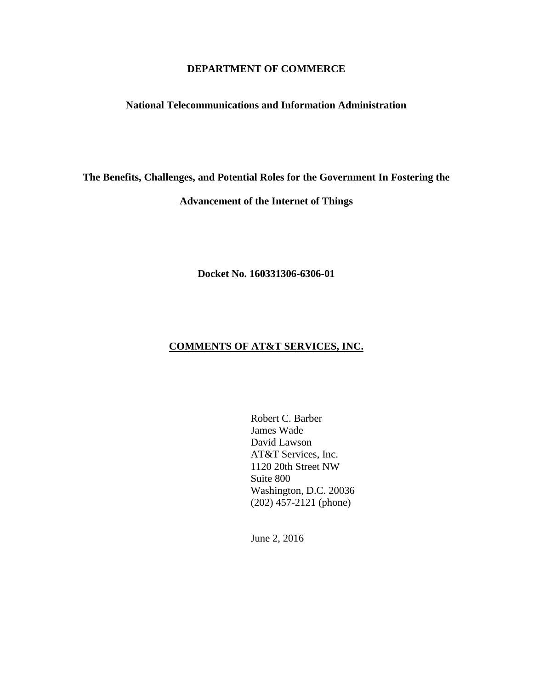# **DEPARTMENT OF COMMERCE**

### **National Telecommunications and Information Administration**

**The Benefits, Challenges, and Potential Roles for the Government In Fostering the** 

### **Advancement of the Internet of Things**

**Docket No. 160331306-6306-01**

# **COMMENTS OF AT&T SERVICES, INC.**

Robert C. Barber James Wade David Lawson AT&T Services, Inc. 1120 20th Street NW Suite 800 Washington, D.C. 20036 (202) 457-2121 (phone)

June 2, 2016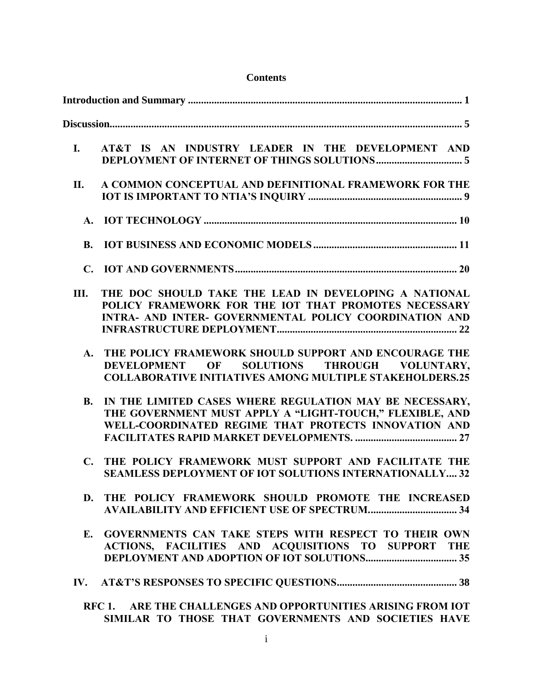| <b>Contents</b> |                                                                                                                                                                                |
|-----------------|--------------------------------------------------------------------------------------------------------------------------------------------------------------------------------|
|                 |                                                                                                                                                                                |
|                 |                                                                                                                                                                                |
| <b>I.</b>       | AT&T IS AN INDUSTRY LEADER IN THE DEVELOPMENT AND                                                                                                                              |
| П.              | A COMMON CONCEPTUAL AND DEFINITIONAL FRAMEWORK FOR THE                                                                                                                         |
| $A_{\bullet}$   |                                                                                                                                                                                |
| <b>B.</b>       |                                                                                                                                                                                |
|                 |                                                                                                                                                                                |
| Ш.              | THE DOC SHOULD TAKE THE LEAD IN DEVELOPING A NATIONAL<br>POLICY FRAMEWORK FOR THE IOT THAT PROMOTES NECESSARY<br><b>INTRA- AND INTER- GOVERNMENTAL POLICY COORDINATION AND</b> |
|                 | A. THE POLICY FRAMEWORK SHOULD SUPPORT AND ENCOURAGE THE<br>SOLUTIONS THROUGH VOLUNTARY,<br>DEVELOPMENT OF<br><b>COLLABORATIVE INITIATIVES AMONG MULTIPLE STAKEHOLDERS.25</b>  |
| <b>B.</b>       | IN THE LIMITED CASES WHERE REGULATION MAY BE NECESSARY,<br>THE GOVERNMENT MUST APPLY A "LIGHT-TOUCH," FLEXIBLE, AND<br>WELL-COORDINATED REGIME THAT PROTECTS INNOVATION AND    |
|                 | C. THE POLICY FRAMEWORK MUST SUPPORT AND FACILITATE THE<br><b>SEAMLESS DEPLOYMENT OF IOT SOLUTIONS INTERNATIONALLY32</b>                                                       |
|                 | D. THE POLICY FRAMEWORK SHOULD PROMOTE THE INCREASED<br><b>AVAILABILITY AND EFFICIENT USE OF SPECTRUM 34</b>                                                                   |
|                 | E. GOVERNMENTS CAN TAKE STEPS WITH RESPECT TO THEIR OWN<br>ACTIONS, FACILITIES AND ACQUISITIONS TO SUPPORT THE                                                                 |
|                 |                                                                                                                                                                                |
|                 | RFC 1. ARE THE CHALLENGES AND OPPORTUNITIES ARISING FROM IOT<br>SIMILAR TO THOSE THAT GOVERNMENTS AND SOCIETIES HAVE                                                           |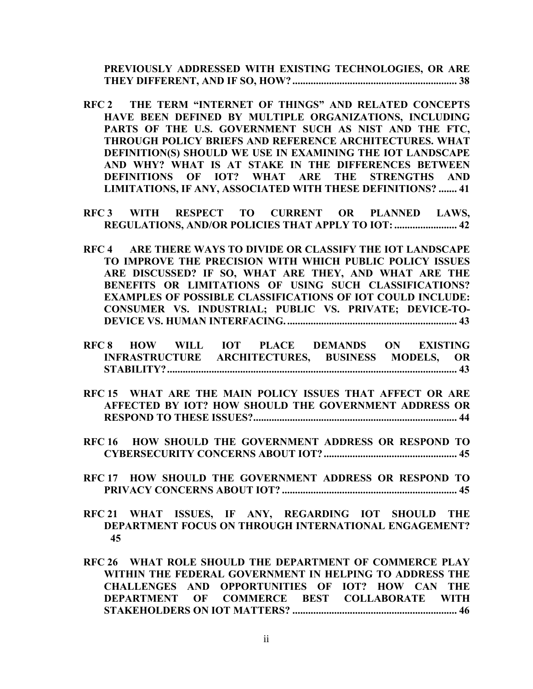**PREVIOUSLY ADDRESSED [WITH EXISTING TECHNOLOGIES, OR ARE](#page-41-1)  [THEY DIFFERENT, AND IF SO, HOW?](#page-41-1) ............................................................... 38**

- **RFC 2 [THE TERM "INTERNET OF THINGS" AND RELATE](#page-44-0)D CONCEPTS HAVE BEEN DEFINED BY [MULTIPLE ORGANIZATIONS, INCLUDING](#page-44-0)  [PARTS OF THE U.S. GOVERNMENT SUCH AS NIST AND THE FTC,](#page-44-0)  [THROUGH POLICY BRIEFS AND REFERENCE ARCHITECTURES. WHAT](#page-44-0)  DEFINITION(S) SHOULD [WE USE IN EXAMINING THE IOT LANDSCAPE](#page-44-0)  [AND WHY? WHAT IS AT STAKE IN THE DIFFERENCES BETWEEN](#page-44-0)  [DEFINITIONS OF IOT? WHAT ARE THE STRENGTHS AND](#page-44-0)  LIMITATIONS, IF ANY, [ASSOCIATED WITH THESE DEFINITIONS?](#page-44-0) ....... 41**
- **RFC 3 [WITH RESPECT TO CURRENT OR PLANNED LAWS,](#page-45-0) REGULATIONS, AND/OR POLICIES THAT APPLY TO IOT: .......................... 42**
- **RFC 4 [ARE THERE WAYS TO DIVIDE OR CLASSIFY THE](#page-46-0) IOT LANDSCAPE [TO IMPROVE THE PRECISION WITH WHICH PUBLIC POLICY ISSUES](#page-46-0)  [ARE DISCUSSED? IF SO, WHAT ARE THEY, AND](#page-46-0) WHAT ARE THE [BENEFITS OR LIMITATIONS OF USING SUCH CLASSIFICATIONS?](#page-46-0)  EXAMPLES OF [POSSIBLE CLASSIFICATIONS OF IOT COULD INCLUDE:](#page-46-0)  [CONSUMER VS. INDUSTRIAL; PUBLIC VS. PRIVATE; DEVICE-TO-](#page-46-0)[DEVICE VS. HUMAN INTERFACING.](#page-46-0) ................................................................. 43**
- **RFC 8 [HOW WILL IOT PLACE DEMANDS ON EXISTING](#page-46-1)  [INFRASTRUCTURE ARCHITECTURES, BUSINESS MODELS, OR](#page-46-1)  [STABILITY?...............................................................................................................](#page-46-1) 43**
- **RFC 15 [WHAT ARE THE MAIN POLICY ISSUES THAT AFFECT OR ARE](#page-47-0)  AFFECTED BY IOT? HOW [SHOULD THE GOVERNMENT ADDRESS OR](#page-47-0)  [RESPOND TO THESE ISSUES?..............................................................................](#page-47-0) 44**
- **RFC 16 [HOW SHOULD THE GOVERNMENT ADDRESS OR RESPOND TO](#page-48-0)  [CYBERSECURITY CONCERNS ABOUT IOT?...................................................](#page-48-0) 45**
- **RFC 17 [HOW SHOULD THE GOVERNMENT ADDRESS OR RESPOND TO](#page-48-1)  [PRIVACY CONCERNS ABOUT IOT?](#page-48-1) ................................................................... 45**
- **RFC 21 WHAT ISSUES, IF ANY, [REGARDING IOT SHOULD](#page-48-2) THE [DEPARTMENT FOCUS ON THROUGH INTERNATIONAL ENGAGEMENT?](#page-48-2) [45](#page-48-2)**
- **RFC 26 WHAT ROLE SHOULD THE [DEPARTMENT OF COMMERCE PLAY](#page-49-0)  [WITHIN THE FEDERAL GOVERNMENT IN HELPING](#page-49-0) TO ADDRESS THE [CHALLENGES AND OPPORTUNITIES OF IOT? HOW](#page-49-0) CAN THE [DEPARTMENT OF COMMERCE BEST COLLABORATE WITH](#page-49-0)  [STAKEHOLDERS ON IOT MATTERS?](#page-49-0) ............................................................... 46**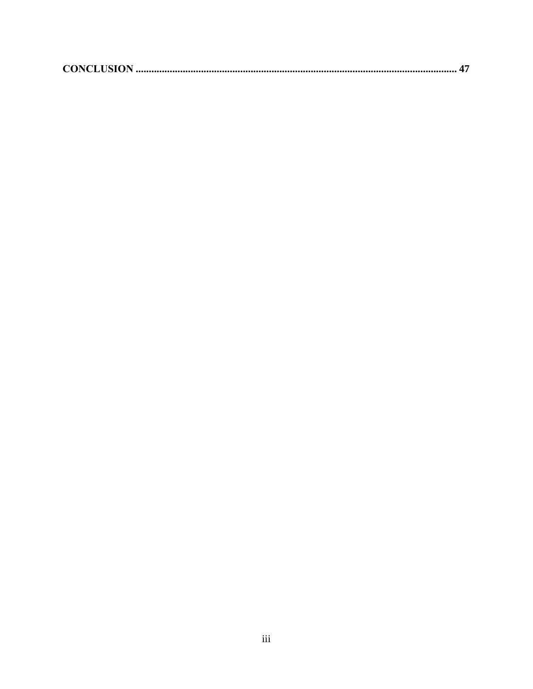|--|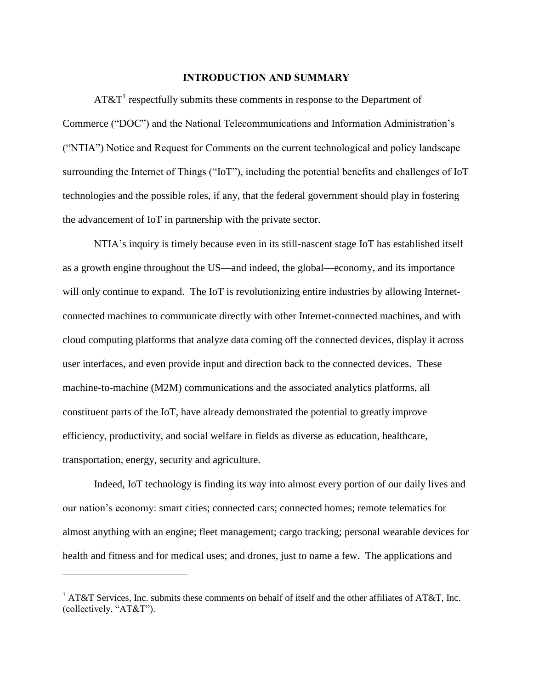## **INTRODUCTION AND SUMMARY**

<span id="page-4-0"></span>AT&T<sup>1</sup> respectfully submits these comments in response to the Department of Commerce ("DOC") and the National Telecommunications and Information Administration's ("NTIA") Notice and Request for Comments on the current technological and policy landscape surrounding the Internet of Things ("IoT"), including the potential benefits and challenges of IoT technologies and the possible roles, if any, that the federal government should play in fostering the advancement of IoT in partnership with the private sector.

NTIA's inquiry is timely because even in its still-nascent stage IoT has established itself as a growth engine throughout the US—and indeed, the global—economy, and its importance will only continue to expand. The IoT is revolutionizing entire industries by allowing Internetconnected machines to communicate directly with other Internet-connected machines, and with cloud computing platforms that analyze data coming off the connected devices, display it across user interfaces, and even provide input and direction back to the connected devices. These machine-to-machine (M2M) communications and the associated analytics platforms, all constituent parts of the IoT, have already demonstrated the potential to greatly improve efficiency, productivity, and social welfare in fields as diverse as education, healthcare, transportation, energy, security and agriculture.

Indeed, IoT technology is finding its way into almost every portion of our daily lives and our nation's economy: smart cities; connected cars; connected homes; remote telematics for almost anything with an engine; fleet management; cargo tracking; personal wearable devices for health and fitness and for medical uses; and drones, just to name a few. The applications and

<sup>&</sup>lt;sup>1</sup> AT&T Services, Inc. submits these comments on behalf of itself and the other affiliates of AT&T, Inc. (collectively, "AT&T").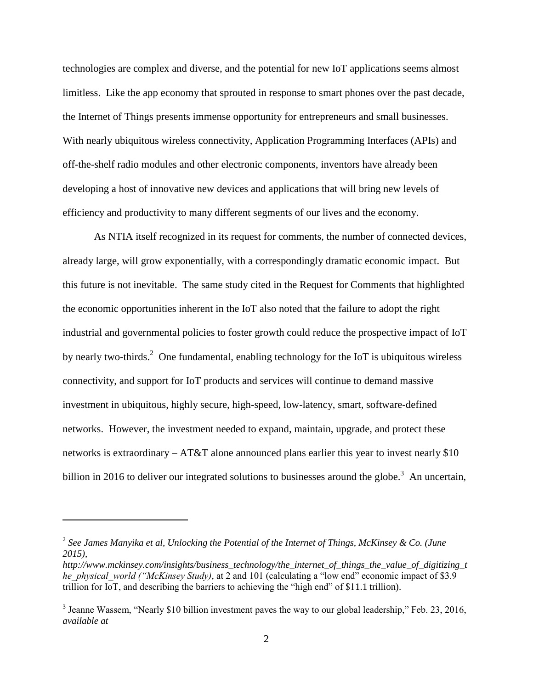technologies are complex and diverse, and the potential for new IoT applications seems almost limitless. Like the app economy that sprouted in response to smart phones over the past decade, the Internet of Things presents immense opportunity for entrepreneurs and small businesses. With nearly ubiquitous wireless connectivity, Application Programming Interfaces (APIs) and off-the-shelf radio modules and other electronic components, inventors have already been developing a host of innovative new devices and applications that will bring new levels of efficiency and productivity to many different segments of our lives and the economy.

As NTIA itself recognized in its request for comments, the number of connected devices, already large, will grow exponentially, with a correspondingly dramatic economic impact. But this future is not inevitable. The same study cited in the Request for Comments that highlighted the economic opportunities inherent in the IoT also noted that the failure to adopt the right industrial and governmental policies to foster growth could reduce the prospective impact of IoT by nearly two-thirds.<sup>2</sup> One fundamental, enabling technology for the IoT is ubiquitous wireless connectivity, and support for IoT products and services will continue to demand massive investment in ubiquitous, highly secure, high-speed, low-latency, smart, software-defined networks. However, the investment needed to expand, maintain, upgrade, and protect these networks is extraordinary – AT&T alone announced plans earlier this year to invest nearly \$10 billion in 2016 to deliver our integrated solutions to businesses around the globe.<sup>3</sup> An uncertain,

<sup>2</sup> *See James Manyika et al, Unlocking the Potential of the Internet of Things, McKinsey & Co. (June 2015),* 

*http://www.mckinsey.com/insights/business\_technology/the\_internet\_of\_things\_the\_value\_of\_digitizing\_t he\_physical\_world ("McKinsey Study),* at 2 and 101 (calculating a "low end" economic impact of \$3.9 trillion for IoT, and describing the barriers to achieving the "high end" of \$11.1 trillion).

<sup>&</sup>lt;sup>3</sup> Jeanne Wassem, "Nearly \$10 billion investment paves the way to our global leadership," Feb. 23, 2016, *available at*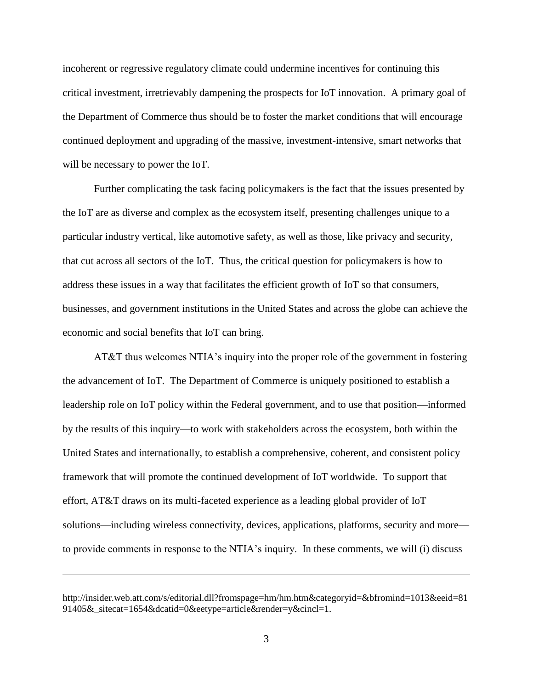incoherent or regressive regulatory climate could undermine incentives for continuing this critical investment, irretrievably dampening the prospects for IoT innovation. A primary goal of the Department of Commerce thus should be to foster the market conditions that will encourage continued deployment and upgrading of the massive, investment-intensive, smart networks that will be necessary to power the IoT.

Further complicating the task facing policymakers is the fact that the issues presented by the IoT are as diverse and complex as the ecosystem itself, presenting challenges unique to a particular industry vertical, like automotive safety, as well as those, like privacy and security, that cut across all sectors of the IoT. Thus, the critical question for policymakers is how to address these issues in a way that facilitates the efficient growth of IoT so that consumers, businesses, and government institutions in the United States and across the globe can achieve the economic and social benefits that IoT can bring.

AT&T thus welcomes NTIA's inquiry into the proper role of the government in fostering the advancement of IoT. The Department of Commerce is uniquely positioned to establish a leadership role on IoT policy within the Federal government, and to use that position—informed by the results of this inquiry—to work with stakeholders across the ecosystem, both within the United States and internationally, to establish a comprehensive, coherent, and consistent policy framework that will promote the continued development of IoT worldwide. To support that effort, AT&T draws on its multi-faceted experience as a leading global provider of IoT solutions—including wireless connectivity, devices, applications, platforms, security and more to provide comments in response to the NTIA's inquiry. In these comments, we will (i) discuss

http://insider.web.att.com/s/editorial.dll?fromspage=hm/hm.htm&categoryid=&bfromind=1013&eeid=81 91405& sitecat=1654&dcatid=0&eetype=article&render=y&cincl=1.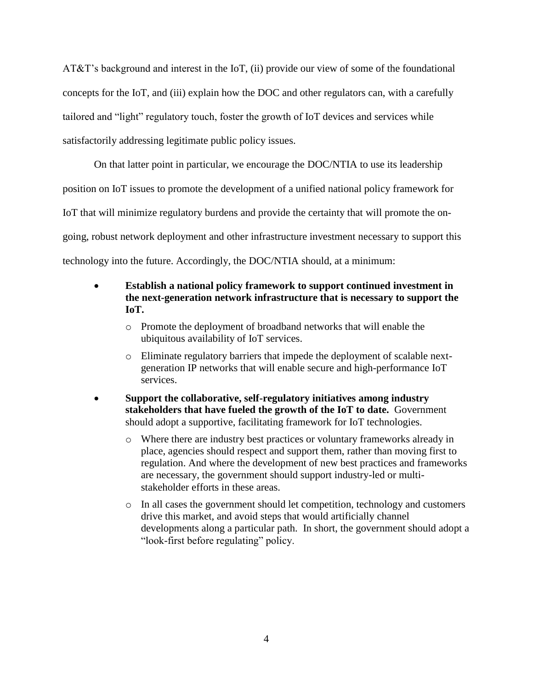AT&T's background and interest in the IoT, (ii) provide our view of some of the foundational concepts for the IoT, and (iii) explain how the DOC and other regulators can, with a carefully tailored and "light" regulatory touch, foster the growth of IoT devices and services while satisfactorily addressing legitimate public policy issues.

On that latter point in particular, we encourage the DOC/NTIA to use its leadership position on IoT issues to promote the development of a unified national policy framework for IoT that will minimize regulatory burdens and provide the certainty that will promote the ongoing, robust network deployment and other infrastructure investment necessary to support this technology into the future. Accordingly, the DOC/NTIA should, at a minimum:

- **Establish a national policy framework to support continued investment in the next-generation network infrastructure that is necessary to support the IoT.**
	- o Promote the deployment of broadband networks that will enable the ubiquitous availability of IoT services.
	- o Eliminate regulatory barriers that impede the deployment of scalable nextgeneration IP networks that will enable secure and high-performance IoT services.
- **Support the collaborative, self-regulatory initiatives among industry stakeholders that have fueled the growth of the IoT to date.** Government should adopt a supportive, facilitating framework for IoT technologies.
	- o Where there are industry best practices or voluntary frameworks already in place, agencies should respect and support them, rather than moving first to regulation. And where the development of new best practices and frameworks are necessary, the government should support industry-led or multistakeholder efforts in these areas.
	- o In all cases the government should let competition, technology and customers drive this market, and avoid steps that would artificially channel developments along a particular path. In short, the government should adopt a "look-first before regulating" policy.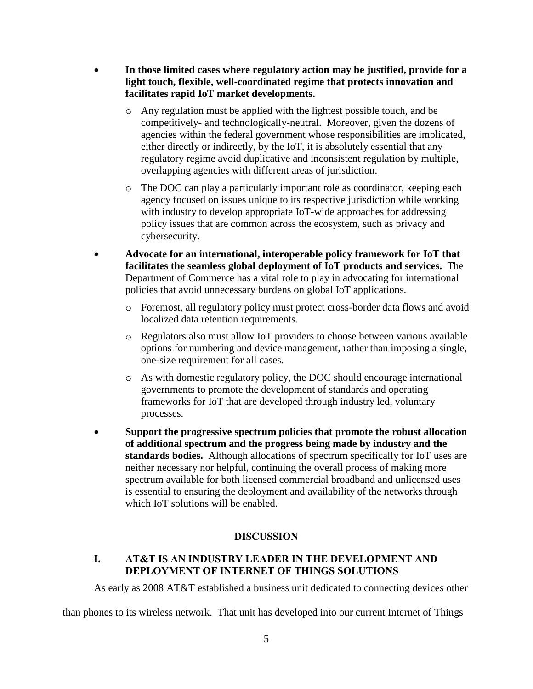- **In those limited cases where regulatory action may be justified, provide for a light touch, flexible, well-coordinated regime that protects innovation and facilitates rapid IoT market developments.** 
	- o Any regulation must be applied with the lightest possible touch, and be competitively- and technologically-neutral. Moreover, given the dozens of agencies within the federal government whose responsibilities are implicated, either directly or indirectly, by the IoT, it is absolutely essential that any regulatory regime avoid duplicative and inconsistent regulation by multiple, overlapping agencies with different areas of jurisdiction.
	- o The DOC can play a particularly important role as coordinator, keeping each agency focused on issues unique to its respective jurisdiction while working with industry to develop appropriate IoT-wide approaches for addressing policy issues that are common across the ecosystem, such as privacy and cybersecurity.
- **Advocate for an international, interoperable policy framework for IoT that facilitates the seamless global deployment of IoT products and services.** The Department of Commerce has a vital role to play in advocating for international policies that avoid unnecessary burdens on global IoT applications.
	- o Foremost, all regulatory policy must protect cross-border data flows and avoid localized data retention requirements.
	- o Regulators also must allow IoT providers to choose between various available options for numbering and device management, rather than imposing a single, one-size requirement for all cases.
	- o As with domestic regulatory policy, the DOC should encourage international governments to promote the development of standards and operating frameworks for IoT that are developed through industry led, voluntary processes.
- **Support the progressive spectrum policies that promote the robust allocation of additional spectrum and the progress being made by industry and the standards bodies.** Although allocations of spectrum specifically for IoT uses are neither necessary nor helpful, continuing the overall process of making more spectrum available for both licensed commercial broadband and unlicensed uses is essential to ensuring the deployment and availability of the networks through which IoT solutions will be enabled.

# **DISCUSSION**

# <span id="page-8-1"></span><span id="page-8-0"></span>**I. AT&T IS AN INDUSTRY LEADER IN THE DEVELOPMENT AND DEPLOYMENT OF INTERNET OF THINGS SOLUTIONS**

As early as 2008 AT&T established a business unit dedicated to connecting devices other

than phones to its wireless network. That unit has developed into our current Internet of Things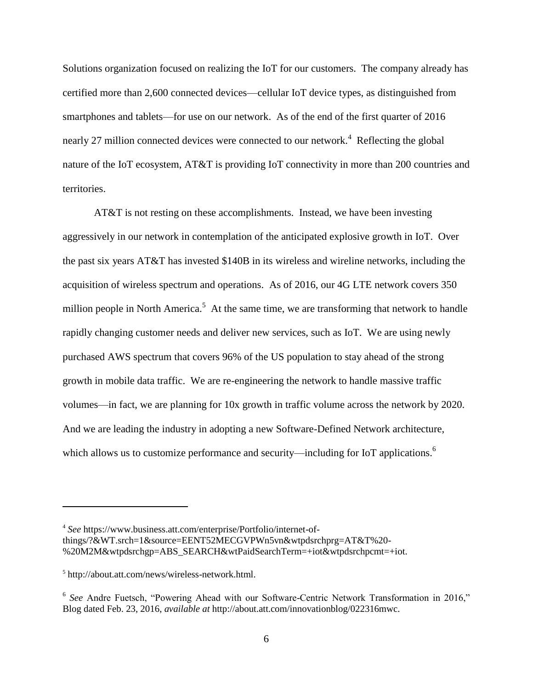Solutions organization focused on realizing the IoT for our customers. The company already has certified more than 2,600 connected devices—cellular IoT device types, as distinguished from smartphones and tablets—for use on our network. As of the end of the first quarter of 2016 nearly 27 million connected devices were connected to our network.<sup>4</sup> Reflecting the global nature of the IoT ecosystem, AT&T is providing IoT connectivity in more than 200 countries and territories.

AT&T is not resting on these accomplishments. Instead, we have been investing aggressively in our network in contemplation of the anticipated explosive growth in IoT. Over the past six years AT&T has invested \$140B in its wireless and wireline networks, including the acquisition of wireless spectrum and operations. As of 2016, our 4G LTE network covers 350 million people in North America.<sup>5</sup> At the same time, we are transforming that network to handle rapidly changing customer needs and deliver new services, such as IoT. We are using newly purchased AWS spectrum that covers 96% of the US population to stay ahead of the strong growth in mobile data traffic. We are re-engineering the network to handle massive traffic volumes—in fact, we are planning for 10x growth in traffic volume across the network by 2020. And we are leading the industry in adopting a new Software-Defined Network architecture, which allows us to customize performance and security—including for IoT applications.<sup>6</sup>

<sup>4</sup> *See* https://www.business.att.com/enterprise/Portfolio/internet-ofthings/?&WT.srch=1&source=EENT52MECGVPWn5vn&wtpdsrchprg=AT&T%20- %20M2M&wtpdsrchgp=ABS\_SEARCH&wtPaidSearchTerm=+iot&wtpdsrchpcmt=+iot.

<sup>5</sup> http://about.att.com/news/wireless-network.html.

<sup>&</sup>lt;sup>6</sup> See Andre Fuetsch, "Powering Ahead with our Software-Centric Network Transformation in 2016," Blog dated Feb. 23, 2016, *available at* http://about.att.com/innovationblog/022316mwc.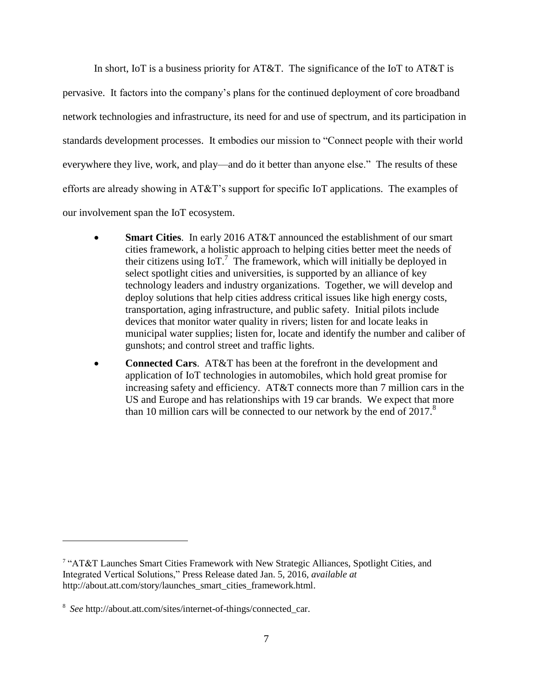In short, IoT is a business priority for AT&T. The significance of the IoT to AT&T is pervasive. It factors into the company's plans for the continued deployment of core broadband network technologies and infrastructure, its need for and use of spectrum, and its participation in standards development processes. It embodies our mission to "Connect people with their world everywhere they live, work, and play—and do it better than anyone else." The results of these efforts are already showing in AT&T's support for specific IoT applications. The examples of our involvement span the IoT ecosystem.

- **Smart Cities**. In early 2016 AT&T announced the establishment of our smart cities framework, a holistic approach to helping cities better meet the needs of their citizens using  $I_0T$ .<sup>7</sup> The framework, which will initially be deployed in select spotlight cities and universities, is supported by an alliance of key technology leaders and industry organizations. Together, we will develop and deploy solutions that help cities address critical issues like high energy costs, transportation, aging infrastructure, and public safety. Initial pilots include devices that monitor water quality in rivers; listen for and locate leaks in municipal water supplies; listen for, locate and identify the number and caliber of gunshots; and control street and traffic lights.
- **Connected Cars**. AT&T has been at the forefront in the development and application of IoT technologies in automobiles, which hold great promise for increasing safety and efficiency. AT&T connects more than 7 million cars in the US and Europe and has relationships with 19 car brands. We expect that more than 10 million cars will be connected to our network by the end of  $2017$ .<sup>8</sup>

<sup>&</sup>lt;sup>7</sup> "AT&T Launches Smart Cities Framework with New Strategic Alliances, Spotlight Cities, and Integrated Vertical Solutions," Press Release dated Jan. 5, 2016, *available at* http://about.att.com/story/launches\_smart\_cities\_framework.html.

<sup>8</sup> *See* http://about.att.com/sites/internet-of-things/connected\_car.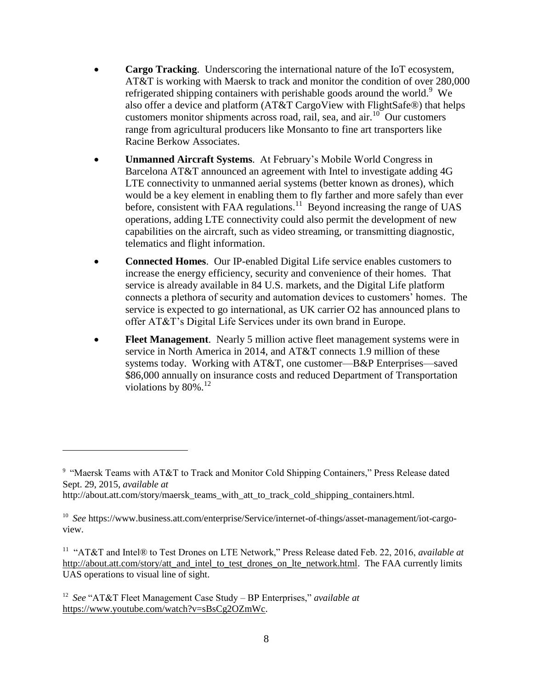- **Cargo Tracking**. Underscoring the international nature of the IoT ecosystem, AT&T is working with Maersk to track and monitor the condition of over 280,000 refrigerated shipping containers with perishable goods around the world.<sup>9</sup> We also offer a device and platform (AT&T CargoView with FlightSafe®) that helps customers monitor shipments across road, rail, sea, and  $air<sup>10</sup>$  Our customers range from agricultural producers like Monsanto to fine art transporters like Racine Berkow Associates.
- **Unmanned Aircraft Systems**. At February's Mobile World Congress in Barcelona AT&T announced an agreement with Intel to investigate adding 4G LTE connectivity to unmanned aerial systems (better known as drones), which would be a key element in enabling them to fly farther and more safely than ever before, consistent with FAA regulations.<sup>11</sup> Beyond increasing the range of UAS operations, adding LTE connectivity could also permit the development of new capabilities on the aircraft, such as video streaming, or transmitting diagnostic, telematics and flight information.
- **Connected Homes**. Our IP-enabled Digital Life service enables customers to increase the energy efficiency, security and convenience of their homes. That service is already available in 84 U.S. markets, and the Digital Life platform connects a plethora of security and automation devices to customers' homes. The service is expected to go international, as UK carrier O2 has announced plans to offer AT&T's Digital Life Services under its own brand in Europe.
- **Fleet Management**. Nearly 5 million active fleet management systems were in service in North America in 2014, and AT&T connects 1.9 million of these systems today. Working with AT&T, one customer—B&P Enterprises—saved \$86,000 annually on insurance costs and reduced Department of Transportation violations by  $80\%$ .<sup>12</sup>

<sup>&</sup>lt;sup>9</sup> "Maersk Teams with AT&T to Track and Monitor Cold Shipping Containers," Press Release dated Sept. 29, 2015, *available at*

http://about.att.com/story/maersk\_teams\_with\_att\_to\_track\_cold\_shipping\_containers.html.

<sup>&</sup>lt;sup>10</sup> See https://www.business.att.com/enterprise/Service/internet-of-things/asset-management/iot-cargoview.

<sup>11</sup> "AT&T and Intel® to Test Drones on LTE Network," Press Release dated Feb. 22, 2016, *available at* [http://about.att.com/story/att\\_and\\_intel\\_to\\_test\\_drones\\_on\\_lte\\_network.html.](http://about.att.com/story/att_and_intel_to_test_drones_on_lte_network.html) The FAA currently limits UAS operations to visual line of sight.

<sup>12</sup> *See* "AT&T Fleet Management Case Study – BP Enterprises," *available at* [https://www.youtube.com/watch?v=sBsCg2OZmWc.](https://www.youtube.com/watch?v=sBsCg2OZmWc)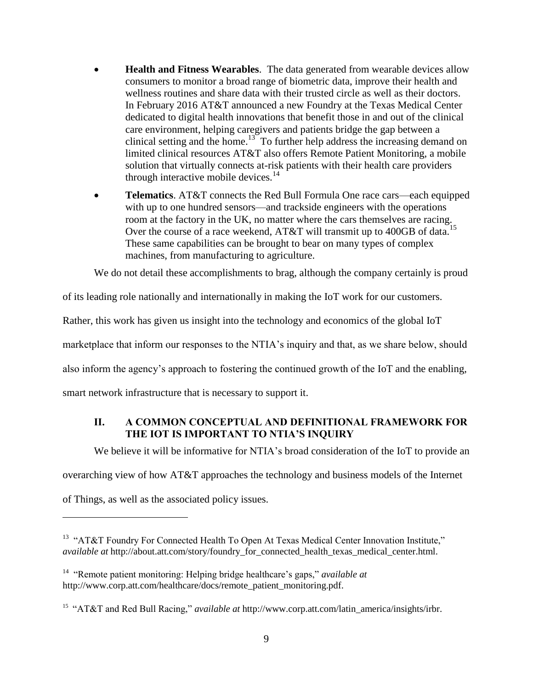- **Health and Fitness Wearables**. The data generated from wearable devices allow consumers to monitor a broad range of biometric data, improve their health and wellness routines and share data with their trusted circle as well as their doctors. In February 2016 AT&T announced a new Foundry at the Texas Medical Center dedicated to digital health innovations that benefit those in and out of the clinical care environment, helping caregivers and patients bridge the gap between a clinical setting and the home.<sup>13</sup> To further help address the increasing demand on limited clinical resources AT&T also offers Remote Patient Monitoring, a mobile solution that virtually connects at-risk patients with their health care providers through interactive mobile devices. $14$
- **Telematics**. AT&T connects the Red Bull Formula One race cars—each equipped with up to one hundred sensors—and trackside engineers with the operations room at the factory in the UK, no matter where the cars themselves are racing. Over the course of a race weekend, AT&T will transmit up to 400GB of data.<sup>15</sup> These same capabilities can be brought to bear on many types of complex machines, from manufacturing to agriculture.

We do not detail these accomplishments to brag, although the company certainly is proud

of its leading role nationally and internationally in making the IoT work for our customers.

Rather, this work has given us insight into the technology and economics of the global IoT

marketplace that inform our responses to the NTIA's inquiry and that, as we share below, should

also inform the agency's approach to fostering the continued growth of the IoT and the enabling,

<span id="page-12-0"></span>smart network infrastructure that is necessary to support it.

# **II. A COMMON CONCEPTUAL AND DEFINITIONAL FRAMEWORK FOR THE IOT IS IMPORTANT TO NTIA'S INQUIRY**

We believe it will be informative for NTIA's broad consideration of the IoT to provide an

overarching view of how AT&T approaches the technology and business models of the Internet

of Things, as well as the associated policy issues.

<sup>&</sup>lt;sup>13</sup> "AT&T Foundry For Connected Health To Open At Texas Medical Center Innovation Institute," *available at* http://about.att.com/story/foundry\_for\_connected\_health\_texas\_medical\_center.html.

<sup>&</sup>lt;sup>14</sup> "Remote patient monitoring: Helping bridge healthcare's gaps," *available at* http://www.corp.att.com/healthcare/docs/remote\_patient\_monitoring.pdf.

<sup>&</sup>lt;sup>15</sup> "AT&T and Red Bull Racing," *available at http://www.corp.att.com/latin\_america/insights/irbr.*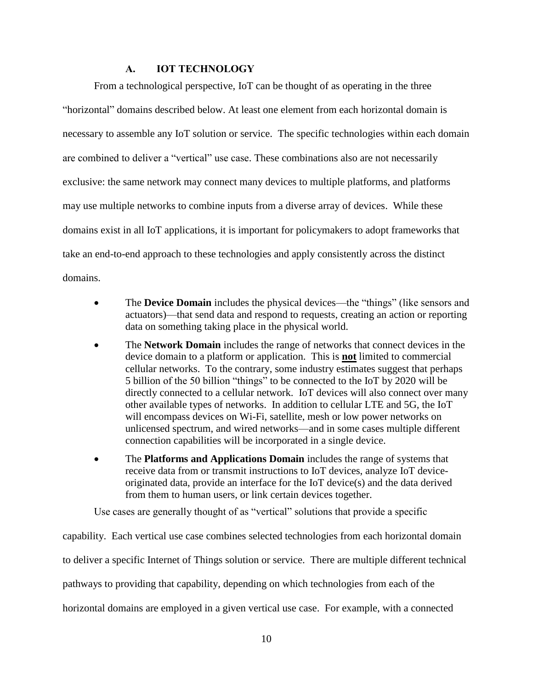#### **A. IOT TECHNOLOGY**

<span id="page-13-0"></span>From a technological perspective, IoT can be thought of as operating in the three "horizontal" domains described below. At least one element from each horizontal domain is necessary to assemble any IoT solution or service. The specific technologies within each domain are combined to deliver a "vertical" use case. These combinations also are not necessarily exclusive: the same network may connect many devices to multiple platforms, and platforms may use multiple networks to combine inputs from a diverse array of devices. While these domains exist in all IoT applications, it is important for policymakers to adopt frameworks that take an end-to-end approach to these technologies and apply consistently across the distinct domains.

- The **Device Domain** includes the physical devices—the "things" (like sensors and actuators)—that send data and respond to requests, creating an action or reporting data on something taking place in the physical world.
- The **Network Domain** includes the range of networks that connect devices in the device domain to a platform or application. This is **not** limited to commercial cellular networks. To the contrary, some industry estimates suggest that perhaps 5 billion of the 50 billion "things" to be connected to the IoT by 2020 will be directly connected to a cellular network. IoT devices will also connect over many other available types of networks. In addition to cellular LTE and 5G, the IoT will encompass devices on Wi-Fi, satellite, mesh or low power networks on unlicensed spectrum, and wired networks—and in some cases multiple different connection capabilities will be incorporated in a single device.
- The **Platforms and Applications Domain** includes the range of systems that receive data from or transmit instructions to IoT devices, analyze IoT deviceoriginated data, provide an interface for the IoT device(s) and the data derived from them to human users, or link certain devices together.

Use cases are generally thought of as "vertical" solutions that provide a specific

capability. Each vertical use case combines selected technologies from each horizontal domain to deliver a specific Internet of Things solution or service. There are multiple different technical pathways to providing that capability, depending on which technologies from each of the horizontal domains are employed in a given vertical use case. For example, with a connected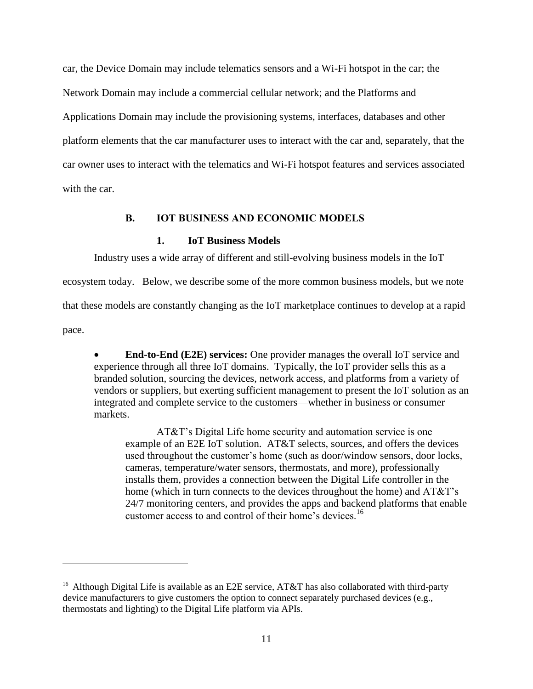car, the Device Domain may include telematics sensors and a Wi-Fi hotspot in the car; the Network Domain may include a commercial cellular network; and the Platforms and Applications Domain may include the provisioning systems, interfaces, databases and other platform elements that the car manufacturer uses to interact with the car and, separately, that the car owner uses to interact with the telematics and Wi-Fi hotspot features and services associated with the car.

#### **B. IOT BUSINESS AND ECONOMIC MODELS**

### **1. IoT Business Models**

<span id="page-14-0"></span>Industry uses a wide array of different and still-evolving business models in the IoT

ecosystem today. Below, we describe some of the more common business models, but we note

that these models are constantly changing as the IoT marketplace continues to develop at a rapid

pace.

 $\overline{a}$ 

 **End-to-End (E2E) services:** One provider manages the overall IoT service and experience through all three IoT domains. Typically, the IoT provider sells this as a branded solution, sourcing the devices, network access, and platforms from a variety of vendors or suppliers, but exerting sufficient management to present the IoT solution as an integrated and complete service to the customers—whether in business or consumer markets.

AT&T's Digital Life home security and automation service is one example of an E2E IoT solution. AT&T selects, sources, and offers the devices used throughout the customer's home (such as door/window sensors, door locks, cameras, temperature/water sensors, thermostats, and more), professionally installs them, provides a connection between the Digital Life controller in the home (which in turn connects to the devices throughout the home) and AT&T's 24/7 monitoring centers, and provides the apps and backend platforms that enable customer access to and control of their home's devices.<sup>16</sup>

<sup>&</sup>lt;sup>16</sup> Although Digital Life is available as an E2E service, AT&T has also collaborated with third-party device manufacturers to give customers the option to connect separately purchased devices (e.g., thermostats and lighting) to the Digital Life platform via APIs.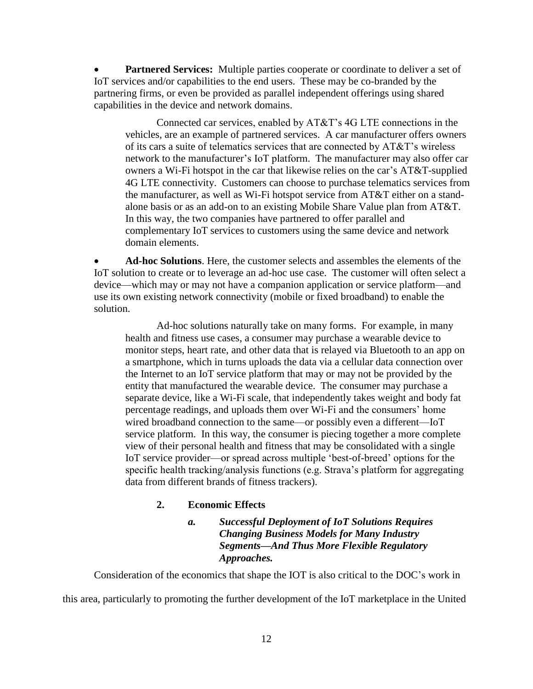**Partnered Services:** Multiple parties cooperate or coordinate to deliver a set of IoT services and/or capabilities to the end users. These may be co-branded by the partnering firms, or even be provided as parallel independent offerings using shared capabilities in the device and network domains.

Connected car services, enabled by AT&T's 4G LTE connections in the vehicles, are an example of partnered services. A car manufacturer offers owners of its cars a suite of telematics services that are connected by AT&T's wireless network to the manufacturer's IoT platform. The manufacturer may also offer car owners a Wi-Fi hotspot in the car that likewise relies on the car's AT&T-supplied 4G LTE connectivity. Customers can choose to purchase telematics services from the manufacturer, as well as Wi-Fi hotspot service from AT&T either on a standalone basis or as an add-on to an existing Mobile Share Value plan from AT&T. In this way, the two companies have partnered to offer parallel and complementary IoT services to customers using the same device and network domain elements.

 **Ad-hoc Solutions**. Here, the customer selects and assembles the elements of the IoT solution to create or to leverage an ad-hoc use case. The customer will often select a device—which may or may not have a companion application or service platform—and use its own existing network connectivity (mobile or fixed broadband) to enable the solution.

Ad-hoc solutions naturally take on many forms. For example, in many health and fitness use cases, a consumer may purchase a wearable device to monitor steps, heart rate, and other data that is relayed via Bluetooth to an app on a smartphone, which in turns uploads the data via a cellular data connection over the Internet to an IoT service platform that may or may not be provided by the entity that manufactured the wearable device. The consumer may purchase a separate device, like a Wi-Fi scale, that independently takes weight and body fat percentage readings, and uploads them over Wi-Fi and the consumers' home wired broadband connection to the same—or possibly even a different—IoT service platform. In this way, the consumer is piecing together a more complete view of their personal health and fitness that may be consolidated with a single IoT service provider—or spread across multiple 'best-of-breed' options for the specific health tracking/analysis functions (e.g. Strava's platform for aggregating data from different brands of fitness trackers).

## **2. Economic Effects**

# *a. Successful Deployment of IoT Solutions Requires Changing Business Models for Many Industry Segments—And Thus More Flexible Regulatory Approaches.*

Consideration of the economics that shape the IOT is also critical to the DOC's work in

this area, particularly to promoting the further development of the IoT marketplace in the United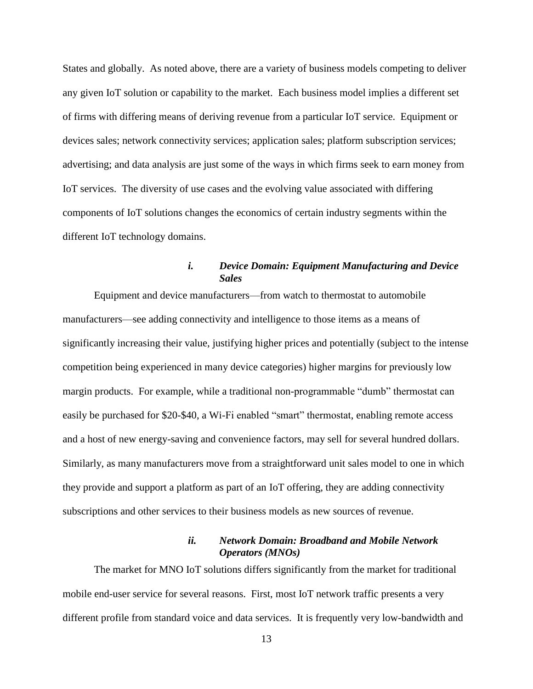States and globally. As noted above, there are a variety of business models competing to deliver any given IoT solution or capability to the market. Each business model implies a different set of firms with differing means of deriving revenue from a particular IoT service. Equipment or devices sales; network connectivity services; application sales; platform subscription services; advertising; and data analysis are just some of the ways in which firms seek to earn money from IoT services. The diversity of use cases and the evolving value associated with differing components of IoT solutions changes the economics of certain industry segments within the different IoT technology domains.

# *i. Device Domain: Equipment Manufacturing and Device Sales*

Equipment and device manufacturers—from watch to thermostat to automobile manufacturers—see adding connectivity and intelligence to those items as a means of significantly increasing their value, justifying higher prices and potentially (subject to the intense competition being experienced in many device categories) higher margins for previously low margin products. For example, while a traditional non-programmable "dumb" thermostat can easily be purchased for \$20-\$40, a Wi-Fi enabled "smart" thermostat, enabling remote access and a host of new energy-saving and convenience factors, may sell for several hundred dollars. Similarly, as many manufacturers move from a straightforward unit sales model to one in which they provide and support a platform as part of an IoT offering, they are adding connectivity subscriptions and other services to their business models as new sources of revenue.

### *ii. Network Domain: Broadband and Mobile Network Operators (MNOs)*

The market for MNO IoT solutions differs significantly from the market for traditional mobile end-user service for several reasons. First, most IoT network traffic presents a very different profile from standard voice and data services. It is frequently very low-bandwidth and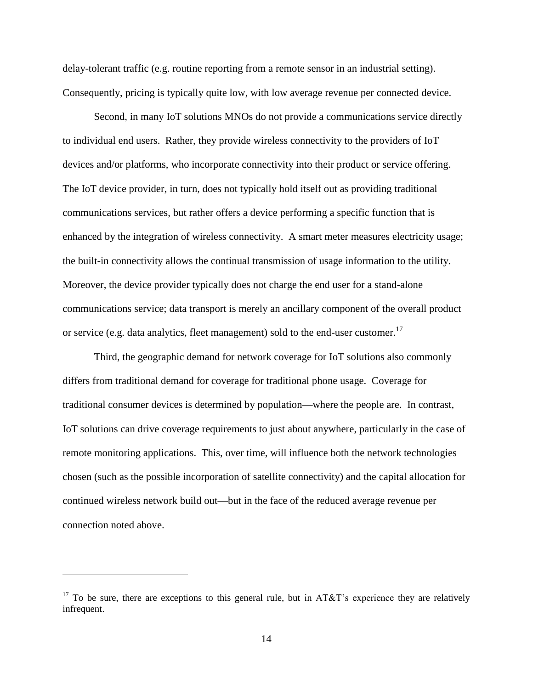delay-tolerant traffic (e.g. routine reporting from a remote sensor in an industrial setting). Consequently, pricing is typically quite low, with low average revenue per connected device.

Second, in many IoT solutions MNOs do not provide a communications service directly to individual end users. Rather, they provide wireless connectivity to the providers of IoT devices and/or platforms, who incorporate connectivity into their product or service offering. The IoT device provider, in turn, does not typically hold itself out as providing traditional communications services, but rather offers a device performing a specific function that is enhanced by the integration of wireless connectivity. A smart meter measures electricity usage; the built-in connectivity allows the continual transmission of usage information to the utility. Moreover, the device provider typically does not charge the end user for a stand-alone communications service; data transport is merely an ancillary component of the overall product or service (e.g. data analytics, fleet management) sold to the end-user customer.<sup>17</sup>

Third, the geographic demand for network coverage for IoT solutions also commonly differs from traditional demand for coverage for traditional phone usage. Coverage for traditional consumer devices is determined by population—where the people are. In contrast, IoT solutions can drive coverage requirements to just about anywhere, particularly in the case of remote monitoring applications. This, over time, will influence both the network technologies chosen (such as the possible incorporation of satellite connectivity) and the capital allocation for continued wireless network build out—but in the face of the reduced average revenue per connection noted above.

<sup>&</sup>lt;sup>17</sup> To be sure, there are exceptions to this general rule, but in AT&T's experience they are relatively infrequent.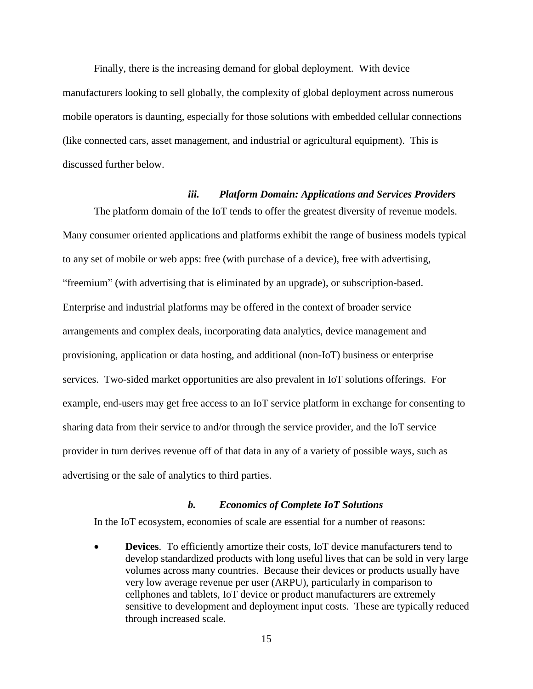Finally, there is the increasing demand for global deployment. With device manufacturers looking to sell globally, the complexity of global deployment across numerous mobile operators is daunting, especially for those solutions with embedded cellular connections (like connected cars, asset management, and industrial or agricultural equipment). This is discussed further below.

#### *iii. Platform Domain: Applications and Services Providers*

The platform domain of the IoT tends to offer the greatest diversity of revenue models. Many consumer oriented applications and platforms exhibit the range of business models typical to any set of mobile or web apps: free (with purchase of a device), free with advertising, "freemium" (with advertising that is eliminated by an upgrade), or subscription-based. Enterprise and industrial platforms may be offered in the context of broader service arrangements and complex deals, incorporating data analytics, device management and provisioning, application or data hosting, and additional (non-IoT) business or enterprise services. Two-sided market opportunities are also prevalent in IoT solutions offerings. For example, end-users may get free access to an IoT service platform in exchange for consenting to sharing data from their service to and/or through the service provider, and the IoT service provider in turn derives revenue off of that data in any of a variety of possible ways, such as advertising or the sale of analytics to third parties.

#### *b. Economics of Complete IoT Solutions*

In the IoT ecosystem, economies of scale are essential for a number of reasons:

 **Devices**. To efficiently amortize their costs, IoT device manufacturers tend to develop standardized products with long useful lives that can be sold in very large volumes across many countries. Because their devices or products usually have very low average revenue per user (ARPU), particularly in comparison to cellphones and tablets, IoT device or product manufacturers are extremely sensitive to development and deployment input costs. These are typically reduced through increased scale.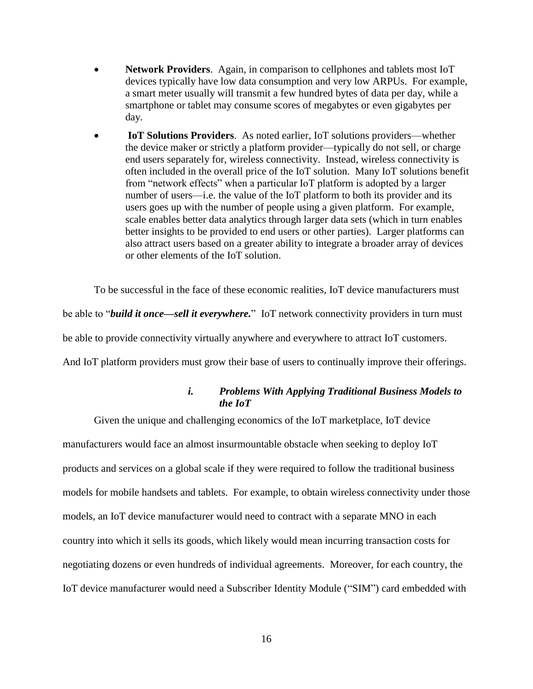- **Network Providers**. Again, in comparison to cellphones and tablets most IoT devices typically have low data consumption and very low ARPUs. For example, a smart meter usually will transmit a few hundred bytes of data per day, while a smartphone or tablet may consume scores of megabytes or even gigabytes per day.
- **IoT Solutions Providers**. As noted earlier, IoT solutions providers—whether the device maker or strictly a platform provider—typically do not sell, or charge end users separately for, wireless connectivity. Instead, wireless connectivity is often included in the overall price of the IoT solution. Many IoT solutions benefit from "network effects" when a particular IoT platform is adopted by a larger number of users—i.e. the value of the IoT platform to both its provider and its users goes up with the number of people using a given platform. For example, scale enables better data analytics through larger data sets (which in turn enables better insights to be provided to end users or other parties). Larger platforms can also attract users based on a greater ability to integrate a broader array of devices or other elements of the IoT solution.

To be successful in the face of these economic realities, IoT device manufacturers must be able to "*build it once—sell it everywhere.*" IoT network connectivity providers in turn must be able to provide connectivity virtually anywhere and everywhere to attract IoT customers. And IoT platform providers must grow their base of users to continually improve their offerings.

## *i. Problems With Applying Traditional Business Models to the IoT*

Given the unique and challenging economics of the IoT marketplace, IoT device manufacturers would face an almost insurmountable obstacle when seeking to deploy IoT products and services on a global scale if they were required to follow the traditional business models for mobile handsets and tablets. For example, to obtain wireless connectivity under those models, an IoT device manufacturer would need to contract with a separate MNO in each country into which it sells its goods, which likely would mean incurring transaction costs for negotiating dozens or even hundreds of individual agreements. Moreover, for each country, the IoT device manufacturer would need a Subscriber Identity Module ("SIM") card embedded with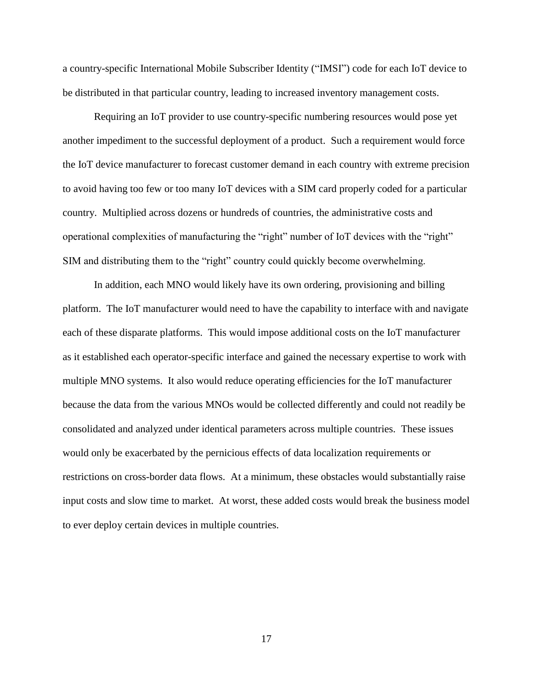a country-specific International Mobile Subscriber Identity ("IMSI") code for each IoT device to be distributed in that particular country, leading to increased inventory management costs.

Requiring an IoT provider to use country-specific numbering resources would pose yet another impediment to the successful deployment of a product. Such a requirement would force the IoT device manufacturer to forecast customer demand in each country with extreme precision to avoid having too few or too many IoT devices with a SIM card properly coded for a particular country. Multiplied across dozens or hundreds of countries, the administrative costs and operational complexities of manufacturing the "right" number of IoT devices with the "right" SIM and distributing them to the "right" country could quickly become overwhelming.

In addition, each MNO would likely have its own ordering, provisioning and billing platform. The IoT manufacturer would need to have the capability to interface with and navigate each of these disparate platforms. This would impose additional costs on the IoT manufacturer as it established each operator-specific interface and gained the necessary expertise to work with multiple MNO systems. It also would reduce operating efficiencies for the IoT manufacturer because the data from the various MNOs would be collected differently and could not readily be consolidated and analyzed under identical parameters across multiple countries. These issues would only be exacerbated by the pernicious effects of data localization requirements or restrictions on cross-border data flows. At a minimum, these obstacles would substantially raise input costs and slow time to market. At worst, these added costs would break the business model to ever deploy certain devices in multiple countries.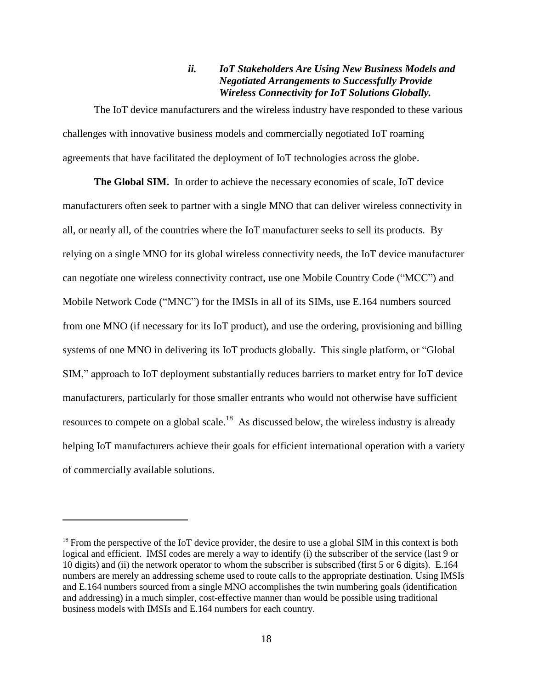### *ii. IoT Stakeholders Are Using New Business Models and Negotiated Arrangements to Successfully Provide Wireless Connectivity for IoT Solutions Globally.*

The IoT device manufacturers and the wireless industry have responded to these various challenges with innovative business models and commercially negotiated IoT roaming agreements that have facilitated the deployment of IoT technologies across the globe.

**The Global SIM.** In order to achieve the necessary economies of scale, IoT device manufacturers often seek to partner with a single MNO that can deliver wireless connectivity in all, or nearly all, of the countries where the IoT manufacturer seeks to sell its products. By relying on a single MNO for its global wireless connectivity needs, the IoT device manufacturer can negotiate one wireless connectivity contract, use one Mobile Country Code ("MCC") and Mobile Network Code ("MNC") for the IMSIs in all of its SIMs, use E.164 numbers sourced from one MNO (if necessary for its IoT product), and use the ordering, provisioning and billing systems of one MNO in delivering its IoT products globally. This single platform, or "Global SIM," approach to IoT deployment substantially reduces barriers to market entry for IoT device manufacturers, particularly for those smaller entrants who would not otherwise have sufficient resources to compete on a global scale.<sup>18</sup> As discussed below, the wireless industry is already helping IoT manufacturers achieve their goals for efficient international operation with a variety of commercially available solutions.

 $18$  From the perspective of the IoT device provider, the desire to use a global SIM in this context is both logical and efficient. IMSI codes are merely a way to identify (i) the subscriber of the service (last 9 or 10 digits) and (ii) the network operator to whom the subscriber is subscribed (first 5 or 6 digits). E.164 numbers are merely an addressing scheme used to route calls to the appropriate destination. Using IMSIs and E.164 numbers sourced from a single MNO accomplishes the twin numbering goals (identification and addressing) in a much simpler, cost-effective manner than would be possible using traditional business models with IMSIs and E.164 numbers for each country.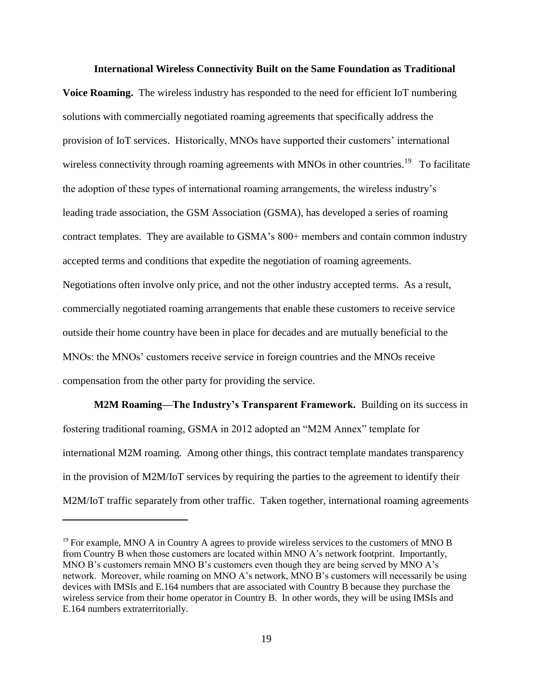#### **International Wireless Connectivity Built on the Same Foundation as Traditional**

**Voice Roaming.** The wireless industry has responded to the need for efficient IoT numbering solutions with commercially negotiated roaming agreements that specifically address the provision of IoT services. Historically, MNOs have supported their customers' international wireless connectivity through roaming agreements with MNOs in other countries.<sup>19</sup> To facilitate the adoption of these types of international roaming arrangements, the wireless industry's leading trade association, the GSM Association (GSMA), has developed a series of roaming contract templates. They are available to GSMA's 800+ members and contain common industry accepted terms and conditions that expedite the negotiation of roaming agreements. Negotiations often involve only price, and not the other industry accepted terms. As a result, commercially negotiated roaming arrangements that enable these customers to receive service outside their home country have been in place for decades and are mutually beneficial to the MNOs: the MNOs' customers receive service in foreign countries and the MNOs receive compensation from the other party for providing the service.

**M2M Roaming—The Industry's Transparent Framework.** Building on its success in fostering traditional roaming, GSMA in 2012 adopted an "M2M Annex" template for international M2M roaming. Among other things, this contract template mandates transparency in the provision of M2M/IoT services by requiring the parties to the agreement to identify their M2M/IoT traffic separately from other traffic. Taken together, international roaming agreements

 $<sup>19</sup>$  For example, MNO A in Country A agrees to provide wireless services to the customers of MNO B</sup> from Country B when those customers are located within MNO A's network footprint. Importantly, MNO B's customers remain MNO B's customers even though they are being served by MNO A's network. Moreover, while roaming on MNO A's network, MNO B's customers will necessarily be using devices with IMSIs and E.164 numbers that are associated with Country B because they purchase the wireless service from their home operator in Country B. In other words, they will be using IMSIs and E.164 numbers extraterritorially.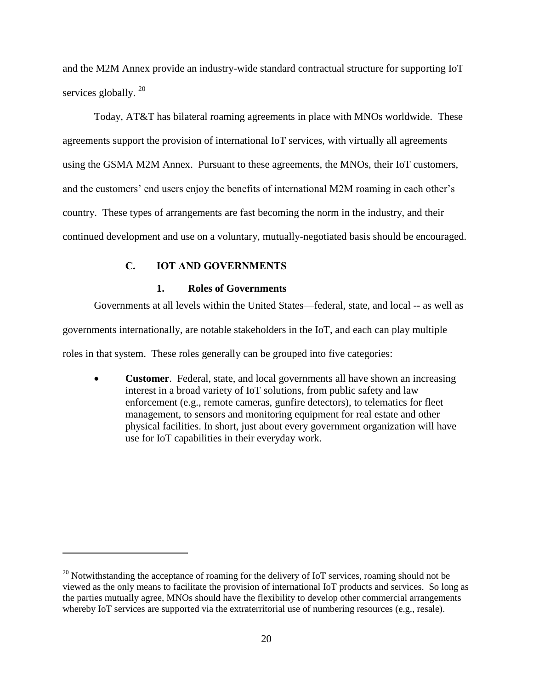and the M2M Annex provide an industry-wide standard contractual structure for supporting IoT services globally.<sup>20</sup>

Today, AT&T has bilateral roaming agreements in place with MNOs worldwide. These agreements support the provision of international IoT services, with virtually all agreements using the GSMA M2M Annex. Pursuant to these agreements, the MNOs, their IoT customers, and the customers' end users enjoy the benefits of international M2M roaming in each other's country. These types of arrangements are fast becoming the norm in the industry, and their continued development and use on a voluntary, mutually-negotiated basis should be encouraged.

# **C. IOT AND GOVERNMENTS**

 $\overline{a}$ 

## **1. Roles of Governments**

<span id="page-23-0"></span>Governments at all levels within the United States—federal, state, and local -- as well as

governments internationally, are notable stakeholders in the IoT, and each can play multiple

roles in that system. These roles generally can be grouped into five categories:

 **Customer**. Federal, state, and local governments all have shown an increasing interest in a broad variety of IoT solutions, from public safety and law enforcement (e.g., remote cameras, gunfire detectors), to telematics for fleet management, to sensors and monitoring equipment for real estate and other physical facilities. In short, just about every government organization will have use for IoT capabilities in their everyday work.

 $^{20}$  Notwithstanding the acceptance of roaming for the delivery of IoT services, roaming should not be viewed as the only means to facilitate the provision of international IoT products and services. So long as the parties mutually agree, MNOs should have the flexibility to develop other commercial arrangements whereby IoT services are supported via the extraterritorial use of numbering resources (e.g., resale).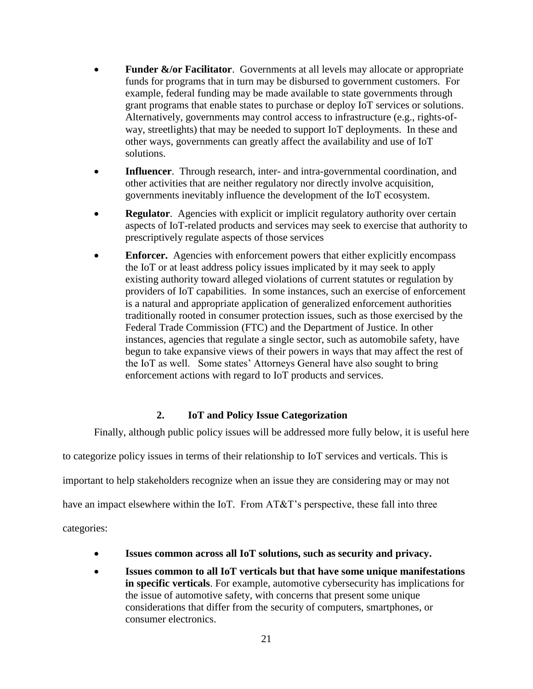- **Funder &/or Facilitator.** Governments at all levels may allocate or appropriate funds for programs that in turn may be disbursed to government customers. For example, federal funding may be made available to state governments through grant programs that enable states to purchase or deploy IoT services or solutions. Alternatively, governments may control access to infrastructure (e.g., rights-ofway, streetlights) that may be needed to support IoT deployments. In these and other ways, governments can greatly affect the availability and use of IoT solutions.
- **Influencer**. Through research, inter- and intra-governmental coordination, and other activities that are neither regulatory nor directly involve acquisition, governments inevitably influence the development of the IoT ecosystem.
- **Regulator.** Agencies with explicit or implicit regulatory authority over certain aspects of IoT-related products and services may seek to exercise that authority to prescriptively regulate aspects of those services
- **Enforcer.** Agencies with enforcement powers that either explicitly encompass the IoT or at least address policy issues implicated by it may seek to apply existing authority toward alleged violations of current statutes or regulation by providers of IoT capabilities. In some instances, such an exercise of enforcement is a natural and appropriate application of generalized enforcement authorities traditionally rooted in consumer protection issues, such as those exercised by the Federal Trade Commission (FTC) and the Department of Justice. In other instances, agencies that regulate a single sector, such as automobile safety, have begun to take expansive views of their powers in ways that may affect the rest of the IoT as well. Some states' Attorneys General have also sought to bring enforcement actions with regard to IoT products and services.

# **2. IoT and Policy Issue Categorization**

Finally, although public policy issues will be addressed more fully below, it is useful here

to categorize policy issues in terms of their relationship to IoT services and verticals. This is

important to help stakeholders recognize when an issue they are considering may or may not

have an impact elsewhere within the IoT. From AT&T's perspective, these fall into three

categories:

- **Issues common across all IoT solutions, such as security and privacy.**
- **Issues common to all IoT verticals but that have some unique manifestations in specific verticals**. For example, automotive cybersecurity has implications for the issue of automotive safety, with concerns that present some unique considerations that differ from the security of computers, smartphones, or consumer electronics.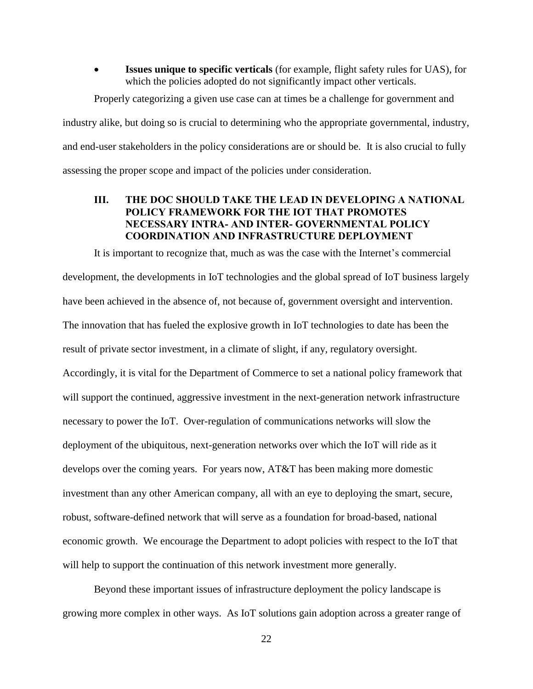**Issues unique to specific verticals** (for example, flight safety rules for UAS), for which the policies adopted do not significantly impact other verticals.

Properly categorizing a given use case can at times be a challenge for government and industry alike, but doing so is crucial to determining who the appropriate governmental, industry, and end-user stakeholders in the policy considerations are or should be. It is also crucial to fully assessing the proper scope and impact of the policies under consideration.

## <span id="page-25-0"></span>**III. THE DOC SHOULD TAKE THE LEAD IN DEVELOPING A NATIONAL POLICY FRAMEWORK FOR THE IOT THAT PROMOTES NECESSARY INTRA- AND INTER- GOVERNMENTAL POLICY COORDINATION AND INFRASTRUCTURE DEPLOYMENT**

It is important to recognize that, much as was the case with the Internet's commercial development, the developments in IoT technologies and the global spread of IoT business largely have been achieved in the absence of, not because of, government oversight and intervention. The innovation that has fueled the explosive growth in IoT technologies to date has been the result of private sector investment, in a climate of slight, if any, regulatory oversight. Accordingly, it is vital for the Department of Commerce to set a national policy framework that will support the continued, aggressive investment in the next-generation network infrastructure necessary to power the IoT. Over-regulation of communications networks will slow the deployment of the ubiquitous, next-generation networks over which the IoT will ride as it develops over the coming years. For years now, AT&T has been making more domestic investment than any other American company, all with an eye to deploying the smart, secure, robust, software-defined network that will serve as a foundation for broad-based, national economic growth. We encourage the Department to adopt policies with respect to the IoT that will help to support the continuation of this network investment more generally.

Beyond these important issues of infrastructure deployment the policy landscape is growing more complex in other ways. As IoT solutions gain adoption across a greater range of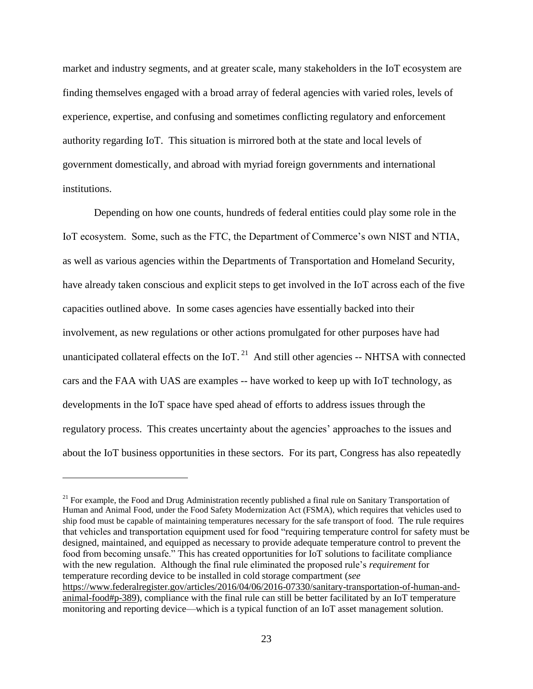market and industry segments, and at greater scale, many stakeholders in the IoT ecosystem are finding themselves engaged with a broad array of federal agencies with varied roles, levels of experience, expertise, and confusing and sometimes conflicting regulatory and enforcement authority regarding IoT. This situation is mirrored both at the state and local levels of government domestically, and abroad with myriad foreign governments and international institutions.

Depending on how one counts, hundreds of federal entities could play some role in the IoT ecosystem. Some, such as the FTC, the Department of Commerce's own NIST and NTIA, as well as various agencies within the Departments of Transportation and Homeland Security, have already taken conscious and explicit steps to get involved in the IoT across each of the five capacities outlined above. In some cases agencies have essentially backed into their involvement, as new regulations or other actions promulgated for other purposes have had unanticipated collateral effects on the IoT.<sup>21</sup> And still other agencies -- NHTSA with connected cars and the FAA with UAS are examples -- have worked to keep up with IoT technology, as developments in the IoT space have sped ahead of efforts to address issues through the regulatory process. This creates uncertainty about the agencies' approaches to the issues and about the IoT business opportunities in these sectors. For its part, Congress has also repeatedly

<sup>&</sup>lt;sup>21</sup> For example, the Food and Drug Administration recently published a final rule on Sanitary Transportation of Human and Animal Food, under the Food Safety Modernization Act (FSMA), which requires that vehicles used to ship food must be capable of maintaining temperatures necessary for the safe transport of food. The rule requires that vehicles and transportation equipment used for food "requiring temperature control for safety must be designed, maintained, and equipped as necessary to provide adequate temperature control to prevent the food from becoming unsafe." This has created opportunities for IoT solutions to facilitate compliance with the new regulation. Although the final rule eliminated the proposed rule's *requirement* for temperature recording device to be installed in cold storage compartment (*see* [https://www.federalregister.gov/articles/2016/04/06/2016-07330/sanitary-transportation-of-human-and](https://www.federalregister.gov/articles/2016/04/06/2016-07330/sanitary-transportation-of-human-and-animal-food#p-389)[animal-food#p-389\)](https://www.federalregister.gov/articles/2016/04/06/2016-07330/sanitary-transportation-of-human-and-animal-food#p-389), compliance with the final rule can still be better facilitated by an IoT temperature monitoring and reporting device—which is a typical function of an IoT asset management solution.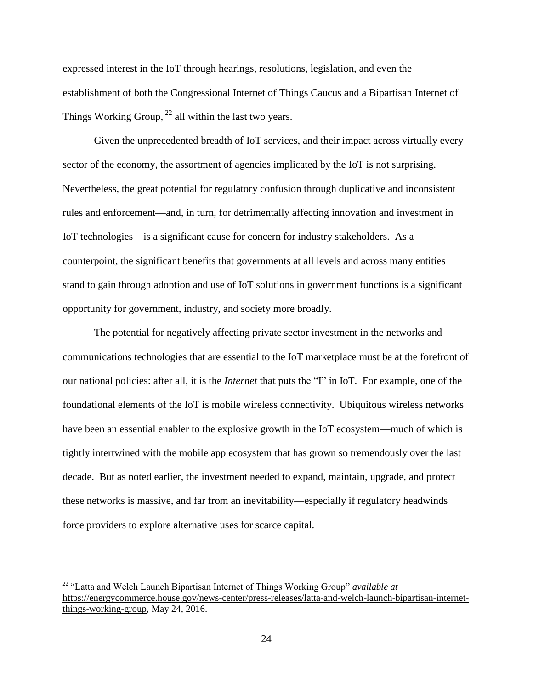expressed interest in the IoT through hearings, resolutions, legislation, and even the establishment of both the Congressional Internet of Things Caucus and a Bipartisan Internet of Things Working Group,  $^{22}$  all within the last two years.

Given the unprecedented breadth of IoT services, and their impact across virtually every sector of the economy, the assortment of agencies implicated by the IoT is not surprising. Nevertheless, the great potential for regulatory confusion through duplicative and inconsistent rules and enforcement—and, in turn, for detrimentally affecting innovation and investment in IoT technologies—is a significant cause for concern for industry stakeholders. As a counterpoint, the significant benefits that governments at all levels and across many entities stand to gain through adoption and use of IoT solutions in government functions is a significant opportunity for government, industry, and society more broadly.

The potential for negatively affecting private sector investment in the networks and communications technologies that are essential to the IoT marketplace must be at the forefront of our national policies: after all, it is the *Internet* that puts the "I" in IoT. For example, one of the foundational elements of the IoT is mobile wireless connectivity. Ubiquitous wireless networks have been an essential enabler to the explosive growth in the IoT ecosystem—much of which is tightly intertwined with the mobile app ecosystem that has grown so tremendously over the last decade. But as noted earlier, the investment needed to expand, maintain, upgrade, and protect these networks is massive, and far from an inevitability—especially if regulatory headwinds force providers to explore alternative uses for scarce capital.

<sup>22</sup> "Latta and Welch Launch Bipartisan Internet of Things Working Group" *available at* [https://energycommerce.house.gov/news-center/press-releases/latta-and-welch-launch-bipartisan-internet](https://energycommerce.house.gov/news-center/press-releases/latta-and-welch-launch-bipartisan-internet-things-working-group)[things-working-group,](https://energycommerce.house.gov/news-center/press-releases/latta-and-welch-launch-bipartisan-internet-things-working-group) May 24, 2016.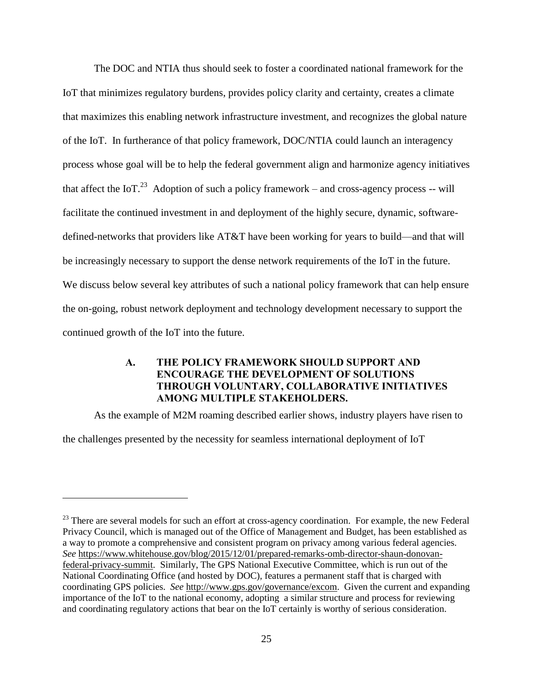The DOC and NTIA thus should seek to foster a coordinated national framework for the IoT that minimizes regulatory burdens, provides policy clarity and certainty, creates a climate that maximizes this enabling network infrastructure investment, and recognizes the global nature of the IoT. In furtherance of that policy framework, DOC/NTIA could launch an interagency process whose goal will be to help the federal government align and harmonize agency initiatives that affect the IoT.<sup>23</sup> Adoption of such a policy framework – and cross-agency process -- will facilitate the continued investment in and deployment of the highly secure, dynamic, softwaredefined-networks that providers like AT&T have been working for years to build—and that will be increasingly necessary to support the dense network requirements of the IoT in the future. We discuss below several key attributes of such a national policy framework that can help ensure the on-going, robust network deployment and technology development necessary to support the continued growth of the IoT into the future.

# <span id="page-28-0"></span>**A. THE POLICY FRAMEWORK SHOULD SUPPORT AND ENCOURAGE THE DEVELOPMENT OF SOLUTIONS THROUGH VOLUNTARY, COLLABORATIVE INITIATIVES AMONG MULTIPLE STAKEHOLDERS.**

As the example of M2M roaming described earlier shows, industry players have risen to

the challenges presented by the necessity for seamless international deployment of IoT

<sup>&</sup>lt;sup>23</sup> There are several models for such an effort at cross-agency coordination. For example, the new Federal Privacy Council, which is managed out of the Office of Management and Budget, has been established as a way to promote a comprehensive and consistent program on privacy among various federal agencies. *See* [https://www.whitehouse.gov/blog/2015/12/01/prepared-remarks-omb-director-shaun-donovan](https://www.whitehouse.gov/blog/2015/12/01/prepared-remarks-omb-director-shaun-donovan-federal-privacy-summit)[federal-privacy-summit.](https://www.whitehouse.gov/blog/2015/12/01/prepared-remarks-omb-director-shaun-donovan-federal-privacy-summit) Similarly, The GPS National Executive Committee, which is run out of the National Coordinating Office (and hosted by DOC), features a permanent staff that is charged with coordinating GPS policies. *See* [http://www.gps.gov/governance/excom.](http://www.gps.gov/governance/excom) Given the current and expanding importance of the IoT to the national economy, adopting a similar structure and process for reviewing and coordinating regulatory actions that bear on the IoT certainly is worthy of serious consideration.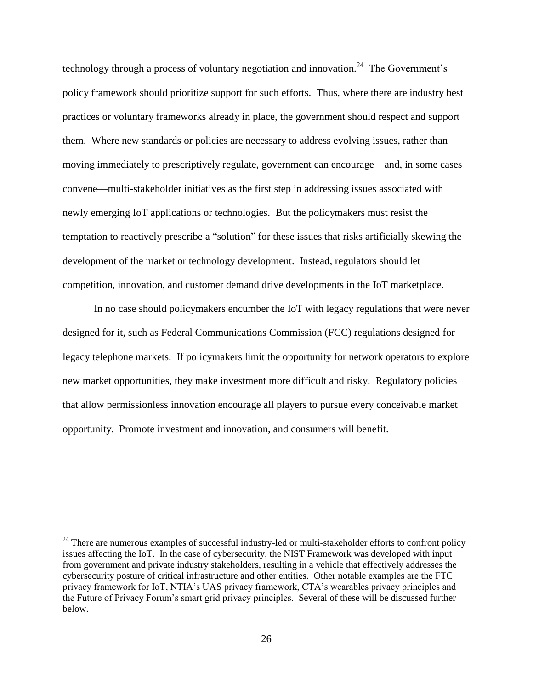technology through a process of voluntary negotiation and innovation.<sup>24</sup> The Government's policy framework should prioritize support for such efforts. Thus, where there are industry best practices or voluntary frameworks already in place, the government should respect and support them. Where new standards or policies are necessary to address evolving issues, rather than moving immediately to prescriptively regulate, government can encourage—and, in some cases convene—multi-stakeholder initiatives as the first step in addressing issues associated with newly emerging IoT applications or technologies. But the policymakers must resist the temptation to reactively prescribe a "solution" for these issues that risks artificially skewing the development of the market or technology development. Instead, regulators should let competition, innovation, and customer demand drive developments in the IoT marketplace.

In no case should policymakers encumber the IoT with legacy regulations that were never designed for it, such as Federal Communications Commission (FCC) regulations designed for legacy telephone markets. If policymakers limit the opportunity for network operators to explore new market opportunities, they make investment more difficult and risky. Regulatory policies that allow permissionless innovation encourage all players to pursue every conceivable market opportunity. Promote investment and innovation, and consumers will benefit.

<sup>&</sup>lt;sup>24</sup> There are numerous examples of successful industry-led or multi-stakeholder efforts to confront policy issues affecting the IoT. In the case of cybersecurity, the NIST Framework was developed with input from government and private industry stakeholders, resulting in a vehicle that effectively addresses the cybersecurity posture of critical infrastructure and other entities. Other notable examples are the FTC privacy framework for IoT, NTIA's UAS privacy framework, CTA's wearables privacy principles and the Future of Privacy Forum's smart grid privacy principles. Several of these will be discussed further below.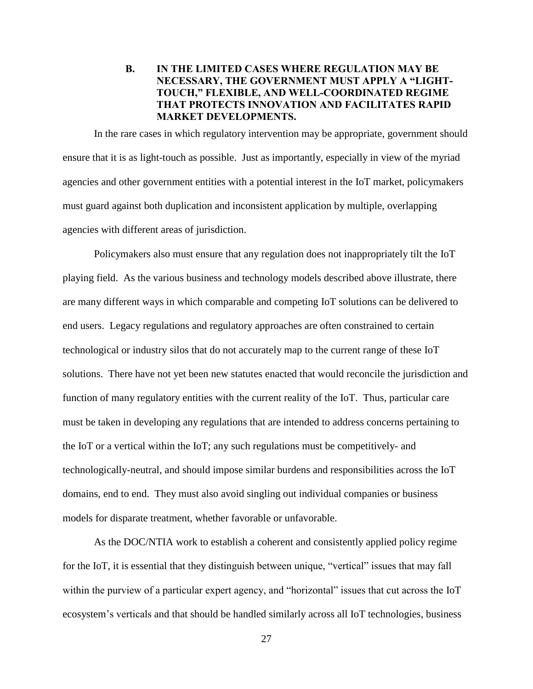# <span id="page-30-0"></span>**B. IN THE LIMITED CASES WHERE REGULATION MAY BE NECESSARY, THE GOVERNMENT MUST APPLY A "LIGHT-TOUCH," FLEXIBLE, AND WELL-COORDINATED REGIME THAT PROTECTS INNOVATION AND FACILITATES RAPID MARKET DEVELOPMENTS.**

In the rare cases in which regulatory intervention may be appropriate, government should ensure that it is as light-touch as possible. Just as importantly, especially in view of the myriad agencies and other government entities with a potential interest in the IoT market, policymakers must guard against both duplication and inconsistent application by multiple, overlapping agencies with different areas of jurisdiction.

Policymakers also must ensure that any regulation does not inappropriately tilt the IoT playing field. As the various business and technology models described above illustrate, there are many different ways in which comparable and competing IoT solutions can be delivered to end users. Legacy regulations and regulatory approaches are often constrained to certain technological or industry silos that do not accurately map to the current range of these IoT solutions. There have not yet been new statutes enacted that would reconcile the jurisdiction and function of many regulatory entities with the current reality of the IoT. Thus, particular care must be taken in developing any regulations that are intended to address concerns pertaining to the IoT or a vertical within the IoT; any such regulations must be competitively- and technologically-neutral, and should impose similar burdens and responsibilities across the IoT domains, end to end. They must also avoid singling out individual companies or business models for disparate treatment, whether favorable or unfavorable.

As the DOC/NTIA work to establish a coherent and consistently applied policy regime for the IoT, it is essential that they distinguish between unique, "vertical" issues that may fall within the purview of a particular expert agency, and "horizontal" issues that cut across the IoT ecosystem's verticals and that should be handled similarly across all IoT technologies, business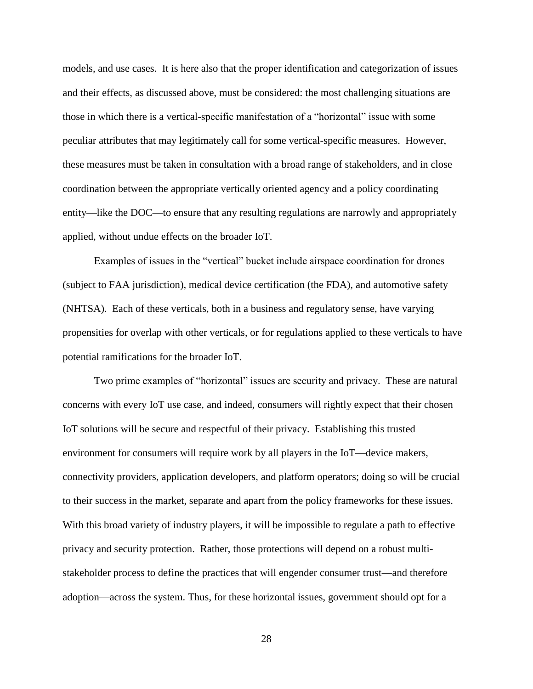models, and use cases. It is here also that the proper identification and categorization of issues and their effects, as discussed above, must be considered: the most challenging situations are those in which there is a vertical-specific manifestation of a "horizontal" issue with some peculiar attributes that may legitimately call for some vertical-specific measures. However, these measures must be taken in consultation with a broad range of stakeholders, and in close coordination between the appropriate vertically oriented agency and a policy coordinating entity—like the DOC—to ensure that any resulting regulations are narrowly and appropriately applied, without undue effects on the broader IoT.

Examples of issues in the "vertical" bucket include airspace coordination for drones (subject to FAA jurisdiction), medical device certification (the FDA), and automotive safety (NHTSA). Each of these verticals, both in a business and regulatory sense, have varying propensities for overlap with other verticals, or for regulations applied to these verticals to have potential ramifications for the broader IoT.

Two prime examples of "horizontal" issues are security and privacy. These are natural concerns with every IoT use case, and indeed, consumers will rightly expect that their chosen IoT solutions will be secure and respectful of their privacy. Establishing this trusted environment for consumers will require work by all players in the IoT—device makers, connectivity providers, application developers, and platform operators; doing so will be crucial to their success in the market, separate and apart from the policy frameworks for these issues. With this broad variety of industry players, it will be impossible to regulate a path to effective privacy and security protection. Rather, those protections will depend on a robust multistakeholder process to define the practices that will engender consumer trust—and therefore adoption—across the system. Thus, for these horizontal issues, government should opt for a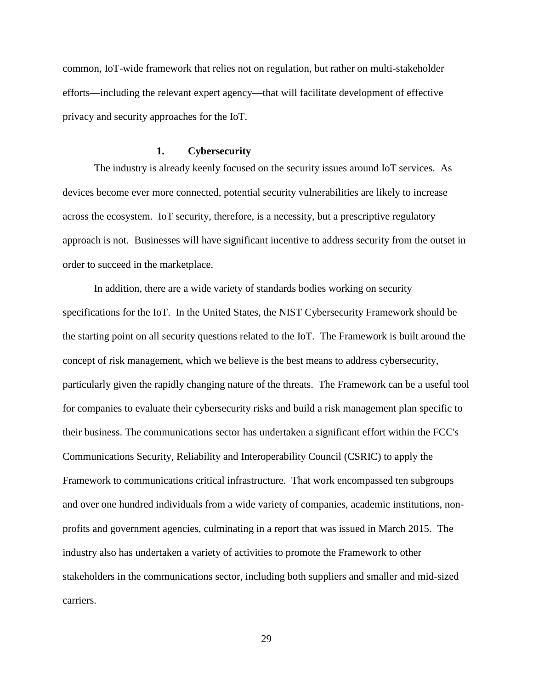common, IoT-wide framework that relies not on regulation, but rather on multi-stakeholder efforts—including the relevant expert agency—that will facilitate development of effective privacy and security approaches for the IoT.

#### **1. Cybersecurity**

The industry is already keenly focused on the security issues around IoT services. As devices become ever more connected, potential security vulnerabilities are likely to increase across the ecosystem. IoT security, therefore, is a necessity, but a prescriptive regulatory approach is not. Businesses will have significant incentive to address security from the outset in order to succeed in the marketplace.

In addition, there are a wide variety of standards bodies working on security specifications for the IoT. In the United States, the NIST Cybersecurity Framework should be the starting point on all security questions related to the IoT. The Framework is built around the concept of risk management, which we believe is the best means to address cybersecurity, particularly given the rapidly changing nature of the threats. The Framework can be a useful tool for companies to evaluate their cybersecurity risks and build a risk management plan specific to their business. The communications sector has undertaken a significant effort within the FCC's Communications Security, Reliability and Interoperability Council (CSRIC) to apply the Framework to communications critical infrastructure. That work encompassed ten subgroups and over one hundred individuals from a wide variety of companies, academic institutions, nonprofits and government agencies, culminating in a report that was issued in March 2015. The industry also has undertaken a variety of activities to promote the Framework to other stakeholders in the communications sector, including both suppliers and smaller and mid-sized carriers.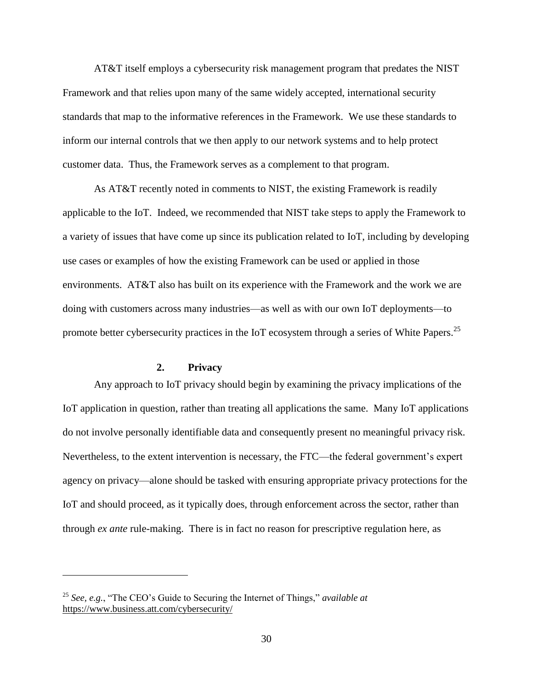AT&T itself employs a cybersecurity risk management program that predates the NIST Framework and that relies upon many of the same widely accepted, international security standards that map to the informative references in the Framework. We use these standards to inform our internal controls that we then apply to our network systems and to help protect customer data. Thus, the Framework serves as a complement to that program.

As AT&T recently noted in comments to NIST, the existing Framework is readily applicable to the IoT. Indeed, we recommended that NIST take steps to apply the Framework to a variety of issues that have come up since its publication related to IoT, including by developing use cases or examples of how the existing Framework can be used or applied in those environments. AT&T also has built on its experience with the Framework and the work we are doing with customers across many industries—as well as with our own IoT deployments—to promote better cybersecurity practices in the IoT ecosystem through a series of White Papers.<sup>25</sup>

#### **2. Privacy**

Any approach to IoT privacy should begin by examining the privacy implications of the IoT application in question, rather than treating all applications the same. Many IoT applications do not involve personally identifiable data and consequently present no meaningful privacy risk. Nevertheless, to the extent intervention is necessary, the FTC—the federal government's expert agency on privacy—alone should be tasked with ensuring appropriate privacy protections for the IoT and should proceed, as it typically does, through enforcement across the sector, rather than through *ex ante* rule-making. There is in fact no reason for prescriptive regulation here, as

<sup>25</sup> *See, e.g.*, "The CEO's Guide to Securing the Internet of Things," *available at* <https://www.business.att.com/cybersecurity/>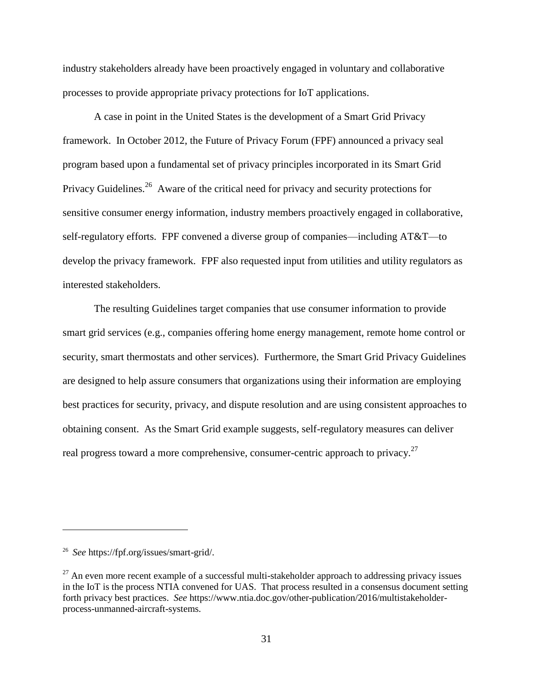industry stakeholders already have been proactively engaged in voluntary and collaborative processes to provide appropriate privacy protections for IoT applications.

A case in point in the United States is the development of a Smart Grid Privacy framework. In October 2012, the Future of Privacy Forum (FPF) announced a privacy seal program based upon a fundamental set of privacy principles incorporated in its Smart Grid Privacy Guidelines.<sup>26</sup> Aware of the critical need for privacy and security protections for sensitive consumer energy information, industry members proactively engaged in collaborative, self-regulatory efforts. FPF convened a diverse group of companies—including AT&T—to develop the privacy framework. FPF also requested input from utilities and utility regulators as interested stakeholders.

The resulting Guidelines target companies that use consumer information to provide smart grid services (e.g., companies offering home energy management, remote home control or security, smart thermostats and other services). Furthermore, the Smart Grid Privacy Guidelines are designed to help assure consumers that organizations using their information are employing best practices for security, privacy, and dispute resolution and are using consistent approaches to obtaining consent. As the Smart Grid example suggests, self-regulatory measures can deliver real progress toward a more comprehensive, consumer-centric approach to privacy.<sup>27</sup>

<sup>26</sup> *See* https://fpf.org/issues/smart-grid/.

 $^{27}$  An even more recent example of a successful multi-stakeholder approach to addressing privacy issues in the IoT is the process NTIA convened for UAS. That process resulted in a consensus document setting forth privacy best practices. *See* https://www.ntia.doc.gov/other-publication/2016/multistakeholderprocess-unmanned-aircraft-systems.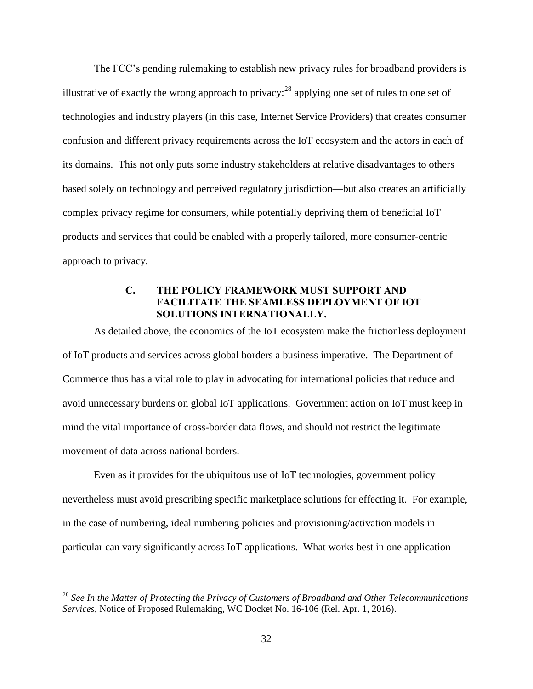The FCC's pending rulemaking to establish new privacy rules for broadband providers is illustrative of exactly the wrong approach to privacy:  $^{28}$  applying one set of rules to one set of technologies and industry players (in this case, Internet Service Providers) that creates consumer confusion and different privacy requirements across the IoT ecosystem and the actors in each of its domains. This not only puts some industry stakeholders at relative disadvantages to others based solely on technology and perceived regulatory jurisdiction—but also creates an artificially complex privacy regime for consumers, while potentially depriving them of beneficial IoT products and services that could be enabled with a properly tailored, more consumer-centric approach to privacy.

# **C. THE POLICY FRAMEWORK MUST SUPPORT AND FACILITATE THE SEAMLESS DEPLOYMENT OF IOT SOLUTIONS INTERNATIONALLY.**

<span id="page-35-0"></span>As detailed above, the economics of the IoT ecosystem make the frictionless deployment of IoT products and services across global borders a business imperative. The Department of Commerce thus has a vital role to play in advocating for international policies that reduce and avoid unnecessary burdens on global IoT applications. Government action on IoT must keep in mind the vital importance of cross-border data flows, and should not restrict the legitimate movement of data across national borders.

Even as it provides for the ubiquitous use of IoT technologies, government policy nevertheless must avoid prescribing specific marketplace solutions for effecting it. For example, in the case of numbering, ideal numbering policies and provisioning/activation models in particular can vary significantly across IoT applications. What works best in one application

<sup>28</sup> *See In the Matter of Protecting the Privacy of Customers of Broadband and Other Telecommunications Services*, Notice of Proposed Rulemaking, WC Docket No. 16-106 (Rel. Apr. 1, 2016).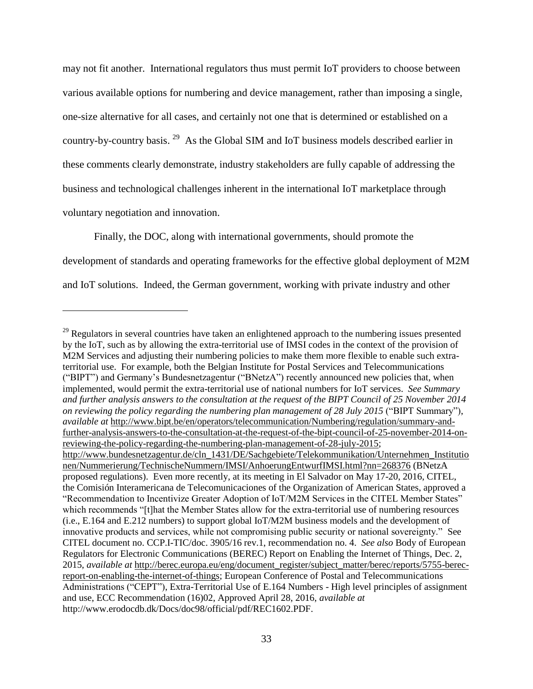may not fit another. International regulators thus must permit IoT providers to choose between various available options for numbering and device management, rather than imposing a single, one-size alternative for all cases, and certainly not one that is determined or established on a country-by-country basis.<sup>29</sup> As the Global SIM and IoT business models described earlier in these comments clearly demonstrate, industry stakeholders are fully capable of addressing the business and technological challenges inherent in the international IoT marketplace through voluntary negotiation and innovation.

Finally, the DOC, along with international governments, should promote the development of standards and operating frameworks for the effective global deployment of M2M and IoT solutions. Indeed, the German government, working with private industry and other

<sup>&</sup>lt;sup>29</sup> Regulators in several countries have taken an enlightened approach to the numbering issues presented by the IoT, such as by allowing the extra-territorial use of IMSI codes in the context of the provision of M2M Services and adjusting their numbering policies to make them more flexible to enable such extraterritorial use. For example, both the Belgian Institute for Postal Services and Telecommunications ("BIPT") and Germany's Bundesnetzagentur ("BNetzA") recently announced new policies that, when implemented, would permit the extra-territorial use of national numbers for IoT services. *See Summary and further analysis answers to the consultation at the request of the BIPT Council of 25 November 2014 on reviewing the policy regarding the numbering plan management of 28 July 2015* ("BIPT Summary"), *available at* [http://www.bipt.be/en/operators/telecommunication/Numbering/regulation/summary-and](http://www.bipt.be/en/operators/telecommunication/Numbering/regulation/summary-and-further-analysis-answers-to-the-consultation-at-the-request-of-the-bipt-council-of-25-november-2014-on-reviewing-the-policy-regarding-the-numbering-plan-management-of-28-july-2015)[further-analysis-answers-to-the-consultation-at-the-request-of-the-bipt-council-of-25-november-2014-on](http://www.bipt.be/en/operators/telecommunication/Numbering/regulation/summary-and-further-analysis-answers-to-the-consultation-at-the-request-of-the-bipt-council-of-25-november-2014-on-reviewing-the-policy-regarding-the-numbering-plan-management-of-28-july-2015)[reviewing-the-policy-regarding-the-numbering-plan-management-of-28-july-2015;](http://www.bipt.be/en/operators/telecommunication/Numbering/regulation/summary-and-further-analysis-answers-to-the-consultation-at-the-request-of-the-bipt-council-of-25-november-2014-on-reviewing-the-policy-regarding-the-numbering-plan-management-of-28-july-2015) [http://www.bundesnetzagentur.de/cln\\_1431/DE/Sachgebiete/Telekommunikation/Unternehmen\\_Institutio](http://www.bundesnetzagentur.de/cln_1431/DE/Sachgebiete/Telekommunikation/Unternehmen_Institutionen/Nummerierung/TechnischeNummern/IMSI/AnhoerungEntwurfIMSI.html?nn=268376) [nen/Nummerierung/TechnischeNummern/IMSI/AnhoerungEntwurfIMSI.html?nn=268376](http://www.bundesnetzagentur.de/cln_1431/DE/Sachgebiete/Telekommunikation/Unternehmen_Institutionen/Nummerierung/TechnischeNummern/IMSI/AnhoerungEntwurfIMSI.html?nn=268376) (BNetzA proposed regulations). Even more recently, at its meeting in El Salvador on May 17-20, 2016, CITEL, the Comisión Interamericana de Telecomunicaciones of the Organization of American States, approved a "Recommendation to Incentivize Greater Adoption of IoT/M2M Services in the CITEL Member States" which recommends "[t]hat the Member States allow for the extra-territorial use of numbering resources (i.e., E.164 and E.212 numbers) to support global IoT/M2M business models and the development of innovative products and services, while not compromising public security or national sovereignty." See CITEL document no. CCP.I-TIC/doc. 3905/16 rev.1, recommendation no. 4. *See also* Body of European Regulators for Electronic Communications (BEREC) Report on Enabling the Internet of Things, Dec. 2, 2015, *available at* [http://berec.europa.eu/eng/document\\_register/subject\\_matter/berec/reports/5755-berec](http://berec.europa.eu/eng/document_register/subject_matter/berec/reports/5755-berec-report-on-enabling-the-internet-of-things)[report-on-enabling-the-internet-of-things;](http://berec.europa.eu/eng/document_register/subject_matter/berec/reports/5755-berec-report-on-enabling-the-internet-of-things) European Conference of Postal and Telecommunications Administrations ("CEPT"), Extra-Territorial Use of E.164 Numbers - High level principles of assignment and use, ECC Recommendation (16)02, Approved April 28, 2016, *available at* http://www.erodocdb.dk/Docs/doc98/official/pdf/REC1602.PDF.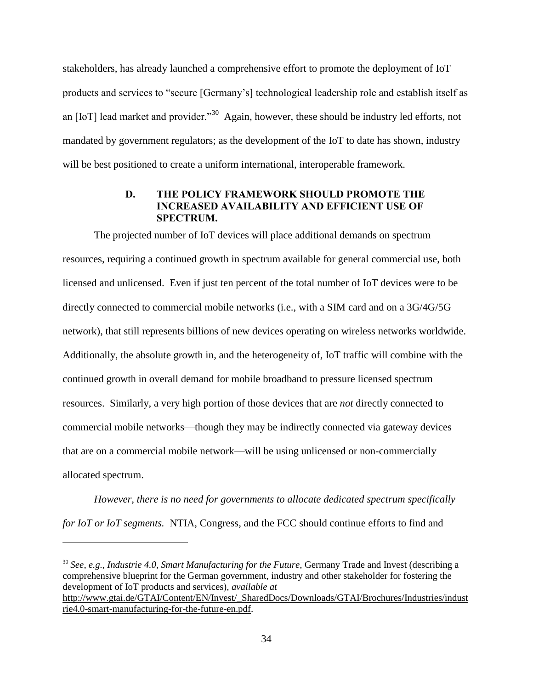stakeholders, has already launched a comprehensive effort to promote the deployment of IoT products and services to "secure [Germany's] technological leadership role and establish itself as an [IoT] lead market and provider."<sup>30</sup> Again, however, these should be industry led efforts, not mandated by government regulators; as the development of the IoT to date has shown, industry will be best positioned to create a uniform international, interoperable framework.

## **D. THE POLICY FRAMEWORK SHOULD PROMOTE THE INCREASED AVAILABILITY AND EFFICIENT USE OF SPECTRUM.**

<span id="page-37-0"></span>The projected number of IoT devices will place additional demands on spectrum resources, requiring a continued growth in spectrum available for general commercial use, both licensed and unlicensed. Even if just ten percent of the total number of IoT devices were to be directly connected to commercial mobile networks (i.e., with a SIM card and on a 3G/4G/5G network), that still represents billions of new devices operating on wireless networks worldwide. Additionally, the absolute growth in, and the heterogeneity of, IoT traffic will combine with the continued growth in overall demand for mobile broadband to pressure licensed spectrum resources. Similarly, a very high portion of those devices that are *not* directly connected to commercial mobile networks—though they may be indirectly connected via gateway devices that are on a commercial mobile network—will be using unlicensed or non-commercially allocated spectrum.

*However, there is no need for governments to allocate dedicated spectrum specifically for IoT or IoT segments.* NTIA, Congress, and the FCC should continue efforts to find and

 $\overline{a}$ 

<sup>30</sup> *See*, *e.g.*, *Industrie 4.0*, *Smart Manufacturing for the Future*, Germany Trade and Invest (describing a comprehensive blueprint for the German government, industry and other stakeholder for fostering the development of IoT products and services), *available at* [http://www.gtai.de/GTAI/Content/EN/Invest/\\_SharedDocs/Downloads/GTAI/Brochures/Industries/indust](http://www.gtai.de/GTAI/Content/EN/Invest/_SharedDocs/Downloads/GTAI/Brochures/Industries/industrie4.0-smart-manufacturing-for-the-future-en.pdf) [rie4.0-smart-manufacturing-for-the-future-en.pdf.](http://www.gtai.de/GTAI/Content/EN/Invest/_SharedDocs/Downloads/GTAI/Brochures/Industries/industrie4.0-smart-manufacturing-for-the-future-en.pdf)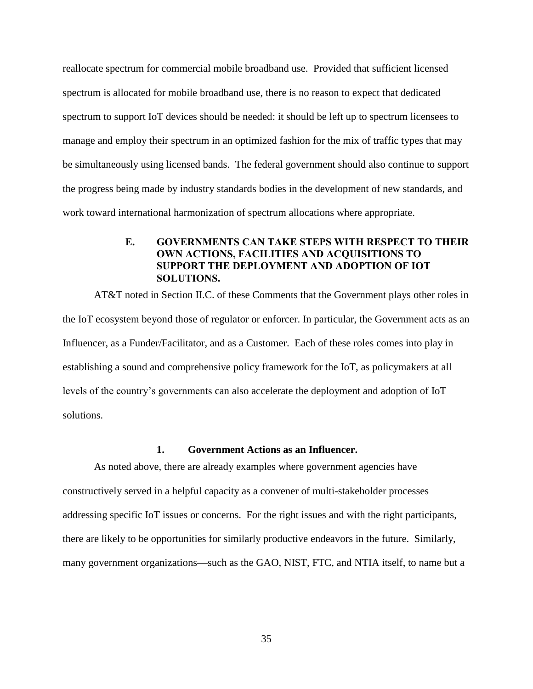reallocate spectrum for commercial mobile broadband use. Provided that sufficient licensed spectrum is allocated for mobile broadband use, there is no reason to expect that dedicated spectrum to support IoT devices should be needed: it should be left up to spectrum licensees to manage and employ their spectrum in an optimized fashion for the mix of traffic types that may be simultaneously using licensed bands. The federal government should also continue to support the progress being made by industry standards bodies in the development of new standards, and work toward international harmonization of spectrum allocations where appropriate.

# **E. GOVERNMENTS CAN TAKE STEPS WITH RESPECT TO THEIR OWN ACTIONS, FACILITIES AND ACQUISITIONS TO SUPPORT THE DEPLOYMENT AND ADOPTION OF IOT SOLUTIONS.**

<span id="page-38-0"></span>AT&T noted in Section II.C. of these Comments that the Government plays other roles in the IoT ecosystem beyond those of regulator or enforcer. In particular, the Government acts as an Influencer, as a Funder/Facilitator, and as a Customer. Each of these roles comes into play in establishing a sound and comprehensive policy framework for the IoT, as policymakers at all levels of the country's governments can also accelerate the deployment and adoption of IoT solutions.

#### **1. Government Actions as an Influencer.**

As noted above, there are already examples where government agencies have constructively served in a helpful capacity as a convener of multi-stakeholder processes addressing specific IoT issues or concerns. For the right issues and with the right participants, there are likely to be opportunities for similarly productive endeavors in the future. Similarly, many government organizations—such as the GAO, NIST, FTC, and NTIA itself, to name but a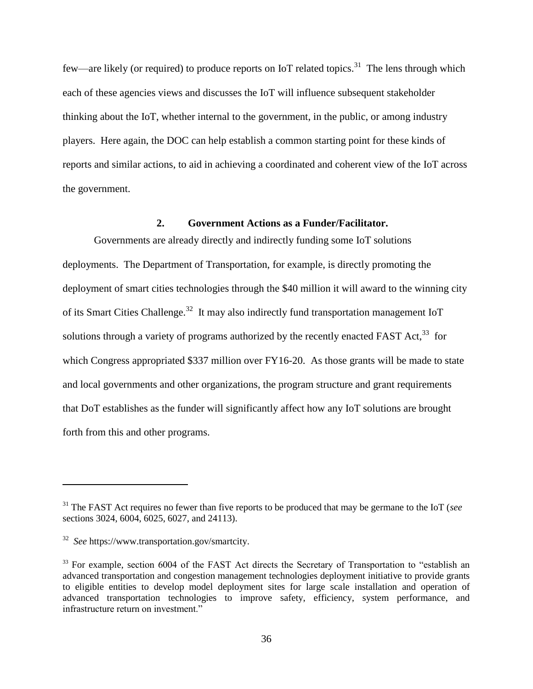few—are likely (or required) to produce reports on IoT related topics.<sup>31</sup> The lens through which each of these agencies views and discusses the IoT will influence subsequent stakeholder thinking about the IoT, whether internal to the government, in the public, or among industry players. Here again, the DOC can help establish a common starting point for these kinds of reports and similar actions, to aid in achieving a coordinated and coherent view of the IoT across the government.

#### **2. Government Actions as a Funder/Facilitator.**

Governments are already directly and indirectly funding some IoT solutions deployments. The Department of Transportation, for example, is directly promoting the deployment of smart cities technologies through the \$40 million it will award to the winning city of its Smart Cities Challenge.<sup>32</sup> It may also indirectly fund transportation management IoT solutions through a variety of programs authorized by the recently enacted FAST Act,  $33$  for which Congress appropriated \$337 million over FY16-20. As those grants will be made to state and local governments and other organizations, the program structure and grant requirements that DoT establishes as the funder will significantly affect how any IoT solutions are brought forth from this and other programs.

<sup>31</sup> The FAST Act requires no fewer than five reports to be produced that may be germane to the IoT (*see* sections 3024, 6004, 6025, 6027, and 24113).

<sup>32</sup> *See* https://www.transportation.gov/smartcity.

<sup>&</sup>lt;sup>33</sup> For example, section 6004 of the FAST Act directs the Secretary of Transportation to "establish an advanced transportation and congestion management technologies deployment initiative to provide grants to eligible entities to develop model deployment sites for large scale installation and operation of advanced transportation technologies to improve safety, efficiency, system performance, and infrastructure return on investment."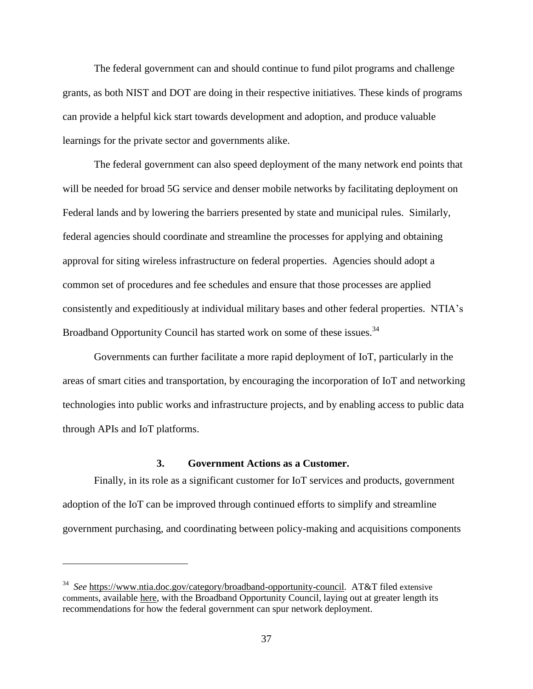The federal government can and should continue to fund pilot programs and challenge grants, as both NIST and DOT are doing in their respective initiatives. These kinds of programs can provide a helpful kick start towards development and adoption, and produce valuable learnings for the private sector and governments alike.

The federal government can also speed deployment of the many network end points that will be needed for broad 5G service and denser mobile networks by facilitating deployment on Federal lands and by lowering the barriers presented by state and municipal rules. Similarly, federal agencies should coordinate and streamline the processes for applying and obtaining approval for siting wireless infrastructure on federal properties. Agencies should adopt a common set of procedures and fee schedules and ensure that those processes are applied consistently and expeditiously at individual military bases and other federal properties. NTIA's Broadband Opportunity Council has started work on some of these issues.<sup>34</sup>

Governments can further facilitate a more rapid deployment of IoT, particularly in the areas of smart cities and transportation, by encouraging the incorporation of IoT and networking technologies into public works and infrastructure projects, and by enabling access to public data through APIs and IoT platforms.

#### **3. Government Actions as a Customer.**

Finally, in its role as a significant customer for IoT services and products, government adoption of the IoT can be improved through continued efforts to simplify and streamline government purchasing, and coordinating between policy-making and acquisitions components

<sup>34</sup> *See* [https://www.ntia.doc.gov/category/broadband-opportunity-council.](https://www.ntia.doc.gov/category/broadband-opportunity-council) AT&T filed extensive comments, available [here,](https://www.ntia.doc.gov/files/ntia/att_services_inc_boc.pdf) with the Broadband Opportunity Council, laying out at greater length its recommendations for how the federal government can spur network deployment.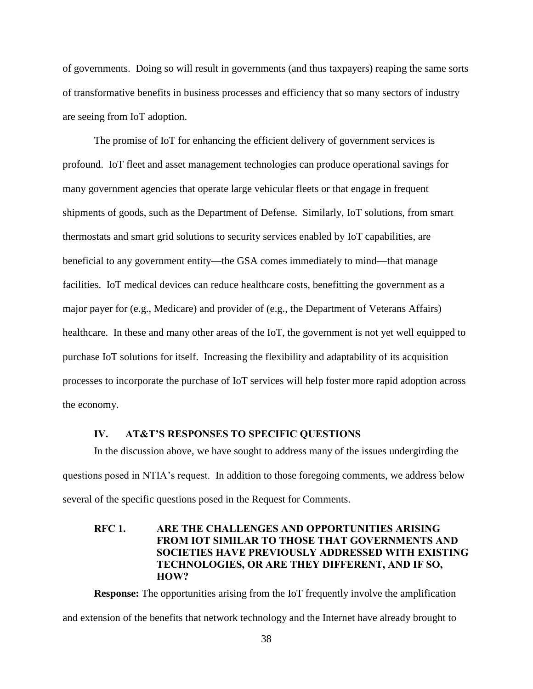of governments. Doing so will result in governments (and thus taxpayers) reaping the same sorts of transformative benefits in business processes and efficiency that so many sectors of industry are seeing from IoT adoption.

The promise of IoT for enhancing the efficient delivery of government services is profound. IoT fleet and asset management technologies can produce operational savings for many government agencies that operate large vehicular fleets or that engage in frequent shipments of goods, such as the Department of Defense. Similarly, IoT solutions, from smart thermostats and smart grid solutions to security services enabled by IoT capabilities, are beneficial to any government entity—the GSA comes immediately to mind—that manage facilities. IoT medical devices can reduce healthcare costs, benefitting the government as a major payer for (e.g., Medicare) and provider of (e.g., the Department of Veterans Affairs) healthcare. In these and many other areas of the IoT, the government is not yet well equipped to purchase IoT solutions for itself. Increasing the flexibility and adaptability of its acquisition processes to incorporate the purchase of IoT services will help foster more rapid adoption across the economy.

#### **IV. AT&T'S RESPONSES TO SPECIFIC QUESTIONS**

<span id="page-41-0"></span>In the discussion above, we have sought to address many of the issues undergirding the questions posed in NTIA's request. In addition to those foregoing comments, we address below several of the specific questions posed in the Request for Comments.

# <span id="page-41-1"></span>**RFC 1. ARE THE CHALLENGES AND OPPORTUNITIES ARISING FROM IOT SIMILAR TO THOSE THAT GOVERNMENTS AND SOCIETIES HAVE PREVIOUSLY ADDRESSED WITH EXISTING TECHNOLOGIES, OR ARE THEY DIFFERENT, AND IF SO, HOW?**

**Response:** The opportunities arising from the IoT frequently involve the amplification and extension of the benefits that network technology and the Internet have already brought to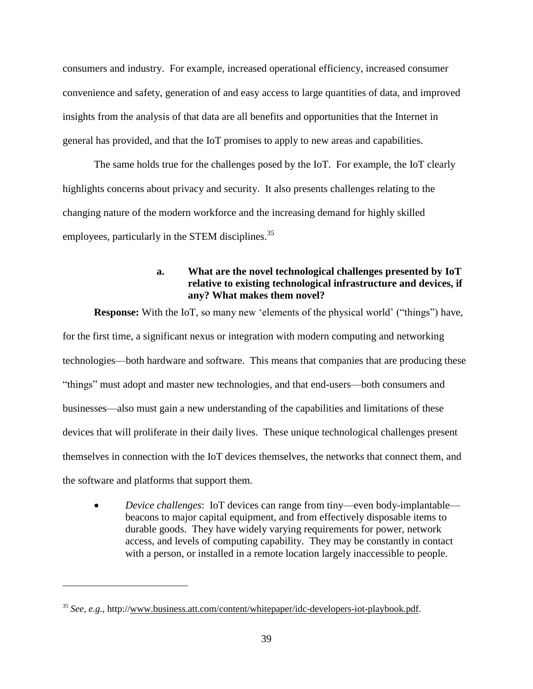consumers and industry. For example, increased operational efficiency, increased consumer convenience and safety, generation of and easy access to large quantities of data, and improved insights from the analysis of that data are all benefits and opportunities that the Internet in general has provided, and that the IoT promises to apply to new areas and capabilities.

The same holds true for the challenges posed by the IoT. For example, the IoT clearly highlights concerns about privacy and security. It also presents challenges relating to the changing nature of the modern workforce and the increasing demand for highly skilled employees, particularly in the STEM disciplines.<sup>35</sup>

# **a. What are the novel technological challenges presented by IoT relative to existing technological infrastructure and devices, if any? What makes them novel?**

**Response:** With the IoT, so many new 'elements of the physical world' ("things") have, for the first time, a significant nexus or integration with modern computing and networking technologies—both hardware and software. This means that companies that are producing these "things" must adopt and master new technologies, and that end-users—both consumers and businesses—also must gain a new understanding of the capabilities and limitations of these devices that will proliferate in their daily lives. These unique technological challenges present themselves in connection with the IoT devices themselves, the networks that connect them, and the software and platforms that support them.

 *Device challenges*: IoT devices can range from tiny—even body-implantable beacons to major capital equipment, and from effectively disposable items to durable goods. They have widely varying requirements for power, network access, and levels of computing capability. They may be constantly in contact with a person, or installed in a remote location largely inaccessible to people.

<sup>35</sup> *See, e.g.,* http:/[/www.business.att.com/content/whitepaper/idc-developers-iot-playbook.pdf.](http://www.business.att.com/content/whitepaper/idc-developers-iot-playbook.pdf)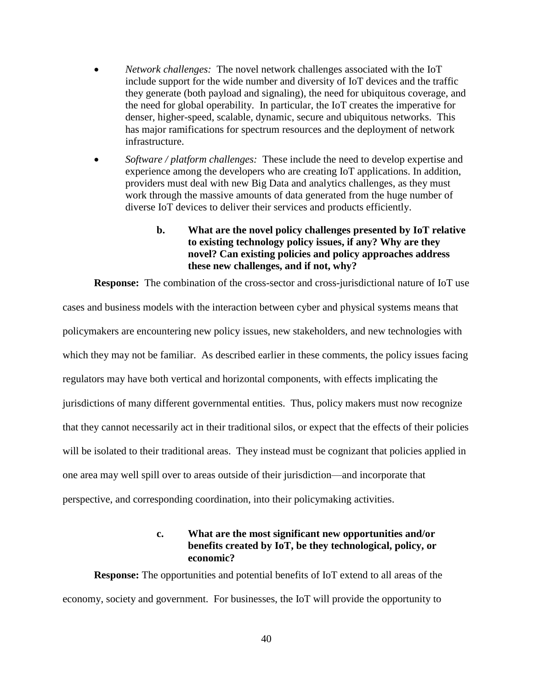- *Network challenges:* The novel network challenges associated with the IoT include support for the wide number and diversity of IoT devices and the traffic they generate (both payload and signaling), the need for ubiquitous coverage, and the need for global operability. In particular, the IoT creates the imperative for denser, higher-speed, scalable, dynamic, secure and ubiquitous networks. This has major ramifications for spectrum resources and the deployment of network infrastructure.
- *Software / platform challenges:* These include the need to develop expertise and experience among the developers who are creating IoT applications. In addition, providers must deal with new Big Data and analytics challenges, as they must work through the massive amounts of data generated from the huge number of diverse IoT devices to deliver their services and products efficiently.

## **b. What are the novel policy challenges presented by IoT relative to existing technology policy issues, if any? Why are they novel? Can existing policies and policy approaches address these new challenges, and if not, why?**

**Response:** The combination of the cross-sector and cross-jurisdictional nature of IoT use

cases and business models with the interaction between cyber and physical systems means that policymakers are encountering new policy issues, new stakeholders, and new technologies with which they may not be familiar. As described earlier in these comments, the policy issues facing regulators may have both vertical and horizontal components, with effects implicating the jurisdictions of many different governmental entities. Thus, policy makers must now recognize that they cannot necessarily act in their traditional silos, or expect that the effects of their policies will be isolated to their traditional areas. They instead must be cognizant that policies applied in one area may well spill over to areas outside of their jurisdiction—and incorporate that perspective, and corresponding coordination, into their policymaking activities.

# **c. What are the most significant new opportunities and/or benefits created by IoT, be they technological, policy, or economic?**

**Response:** The opportunities and potential benefits of IoT extend to all areas of the economy, society and government. For businesses, the IoT will provide the opportunity to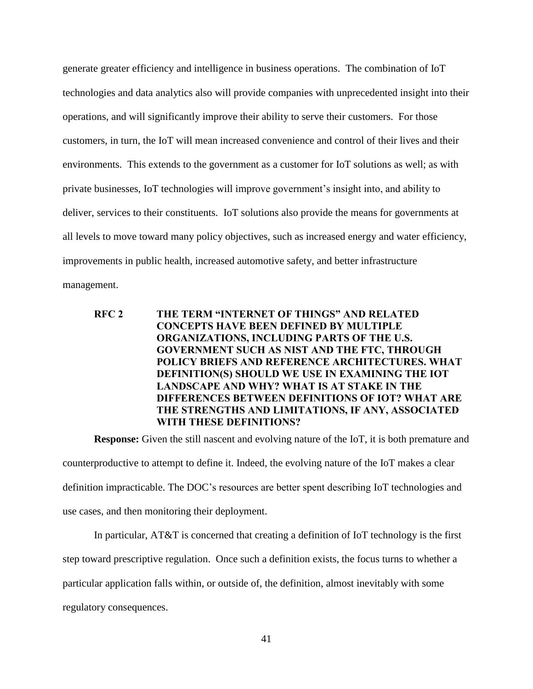generate greater efficiency and intelligence in business operations. The combination of IoT technologies and data analytics also will provide companies with unprecedented insight into their operations, and will significantly improve their ability to serve their customers. For those customers, in turn, the IoT will mean increased convenience and control of their lives and their environments. This extends to the government as a customer for IoT solutions as well; as with private businesses, IoT technologies will improve government's insight into, and ability to deliver, services to their constituents. IoT solutions also provide the means for governments at all levels to move toward many policy objectives, such as increased energy and water efficiency, improvements in public health, increased automotive safety, and better infrastructure management.

# <span id="page-44-0"></span>**RFC 2 THE TERM "INTERNET OF THINGS" AND RELATED CONCEPTS HAVE BEEN DEFINED BY MULTIPLE ORGANIZATIONS, INCLUDING PARTS OF THE U.S. GOVERNMENT SUCH AS NIST AND THE FTC, THROUGH POLICY BRIEFS AND REFERENCE ARCHITECTURES. WHAT DEFINITION(S) SHOULD WE USE IN EXAMINING THE IOT LANDSCAPE AND WHY? WHAT IS AT STAKE IN THE DIFFERENCES BETWEEN DEFINITIONS OF IOT? WHAT ARE THE STRENGTHS AND LIMITATIONS, IF ANY, ASSOCIATED WITH THESE DEFINITIONS?**

**Response:** Given the still nascent and evolving nature of the IoT, it is both premature and counterproductive to attempt to define it. Indeed, the evolving nature of the IoT makes a clear definition impracticable. The DOC's resources are better spent describing IoT technologies and use cases, and then monitoring their deployment.

In particular, AT&T is concerned that creating a definition of IoT technology is the first step toward prescriptive regulation. Once such a definition exists, the focus turns to whether a particular application falls within, or outside of, the definition, almost inevitably with some regulatory consequences.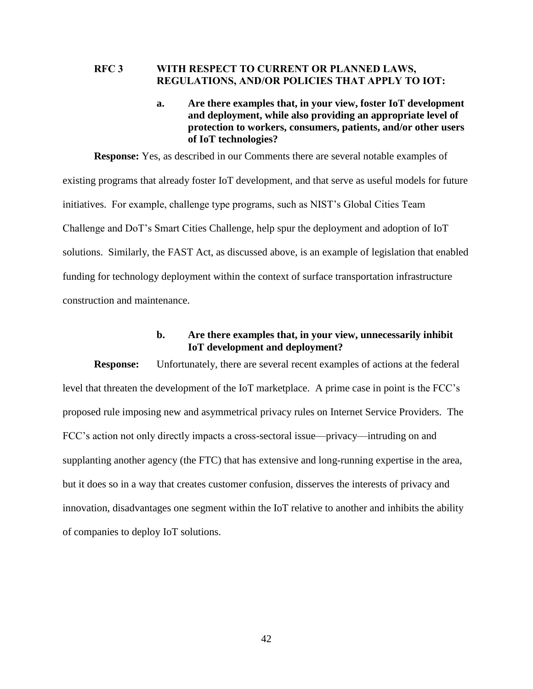### <span id="page-45-0"></span>**RFC 3 WITH RESPECT TO CURRENT OR PLANNED LAWS, REGULATIONS, AND/OR POLICIES THAT APPLY TO IOT:**

### **a. Are there examples that, in your view, foster IoT development and deployment, while also providing an appropriate level of protection to workers, consumers, patients, and/or other users of IoT technologies?**

**Response:** Yes, as described in our Comments there are several notable examples of existing programs that already foster IoT development, and that serve as useful models for future initiatives. For example, challenge type programs, such as NIST's Global Cities Team Challenge and DoT's Smart Cities Challenge, help spur the deployment and adoption of IoT solutions. Similarly, the FAST Act, as discussed above, is an example of legislation that enabled funding for technology deployment within the context of surface transportation infrastructure construction and maintenance.

## **b. Are there examples that, in your view, unnecessarily inhibit IoT development and deployment?**

**Response:** Unfortunately, there are several recent examples of actions at the federal level that threaten the development of the IoT marketplace. A prime case in point is the FCC's proposed rule imposing new and asymmetrical privacy rules on Internet Service Providers. The FCC's action not only directly impacts a cross-sectoral issue—privacy—intruding on and supplanting another agency (the FTC) that has extensive and long-running expertise in the area, but it does so in a way that creates customer confusion, disserves the interests of privacy and innovation, disadvantages one segment within the IoT relative to another and inhibits the ability of companies to deploy IoT solutions.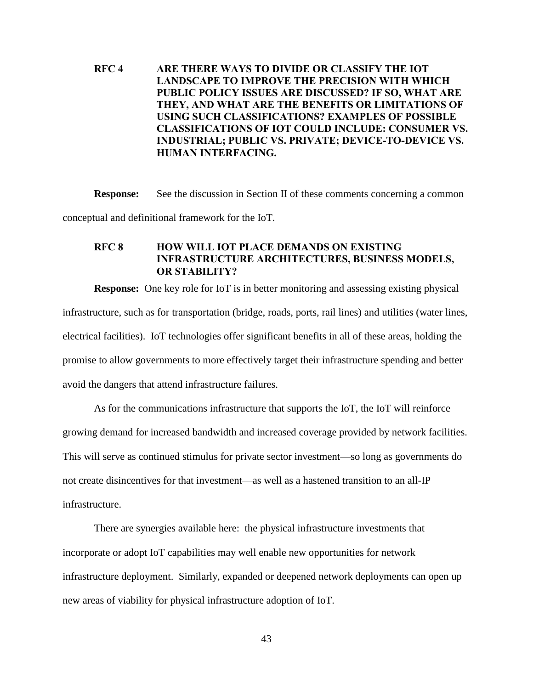# <span id="page-46-0"></span>**RFC 4 ARE THERE WAYS TO DIVIDE OR CLASSIFY THE IOT LANDSCAPE TO IMPROVE THE PRECISION WITH WHICH PUBLIC POLICY ISSUES ARE DISCUSSED? IF SO, WHAT ARE THEY, AND WHAT ARE THE BENEFITS OR LIMITATIONS OF USING SUCH CLASSIFICATIONS? EXAMPLES OF POSSIBLE CLASSIFICATIONS OF IOT COULD INCLUDE: CONSUMER VS. INDUSTRIAL; PUBLIC VS. PRIVATE; DEVICE-TO-DEVICE VS. HUMAN INTERFACING.**

**Response:** See the discussion in Section II of these comments concerning a common conceptual and definitional framework for the IoT.

# <span id="page-46-1"></span>**RFC 8 HOW WILL IOT PLACE DEMANDS ON EXISTING INFRASTRUCTURE ARCHITECTURES, BUSINESS MODELS, OR STABILITY?**

**Response:** One key role for IoT is in better monitoring and assessing existing physical infrastructure, such as for transportation (bridge, roads, ports, rail lines) and utilities (water lines, electrical facilities). IoT technologies offer significant benefits in all of these areas, holding the promise to allow governments to more effectively target their infrastructure spending and better avoid the dangers that attend infrastructure failures.

As for the communications infrastructure that supports the IoT, the IoT will reinforce growing demand for increased bandwidth and increased coverage provided by network facilities. This will serve as continued stimulus for private sector investment—so long as governments do not create disincentives for that investment—as well as a hastened transition to an all-IP infrastructure.

There are synergies available here: the physical infrastructure investments that incorporate or adopt IoT capabilities may well enable new opportunities for network infrastructure deployment. Similarly, expanded or deepened network deployments can open up new areas of viability for physical infrastructure adoption of IoT.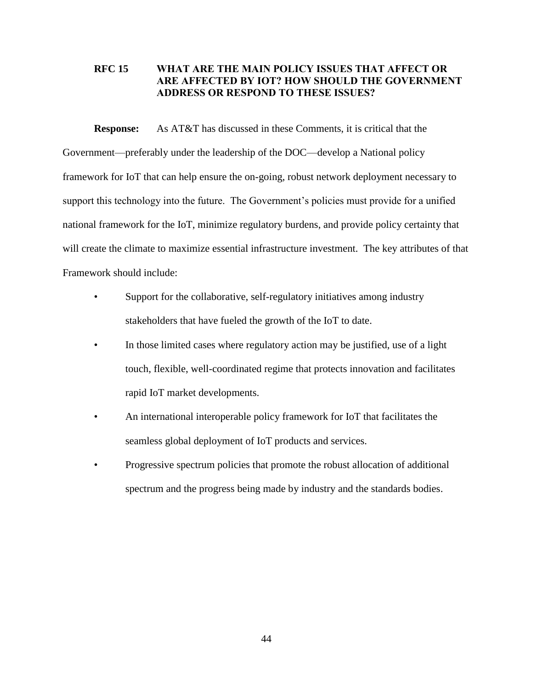# <span id="page-47-0"></span>**RFC 15 WHAT ARE THE MAIN POLICY ISSUES THAT AFFECT OR ARE AFFECTED BY IOT? HOW SHOULD THE GOVERNMENT ADDRESS OR RESPOND TO THESE ISSUES?**

**Response:** As AT&T has discussed in these Comments, it is critical that the Government—preferably under the leadership of the DOC—develop a National policy framework for IoT that can help ensure the on-going, robust network deployment necessary to support this technology into the future. The Government's policies must provide for a unified national framework for the IoT, minimize regulatory burdens, and provide policy certainty that will create the climate to maximize essential infrastructure investment. The key attributes of that Framework should include:

- Support for the collaborative, self-regulatory initiatives among industry stakeholders that have fueled the growth of the IoT to date.
- In those limited cases where regulatory action may be justified, use of a light touch, flexible, well-coordinated regime that protects innovation and facilitates rapid IoT market developments.
- An international interoperable policy framework for IoT that facilitates the seamless global deployment of IoT products and services.
- Progressive spectrum policies that promote the robust allocation of additional spectrum and the progress being made by industry and the standards bodies.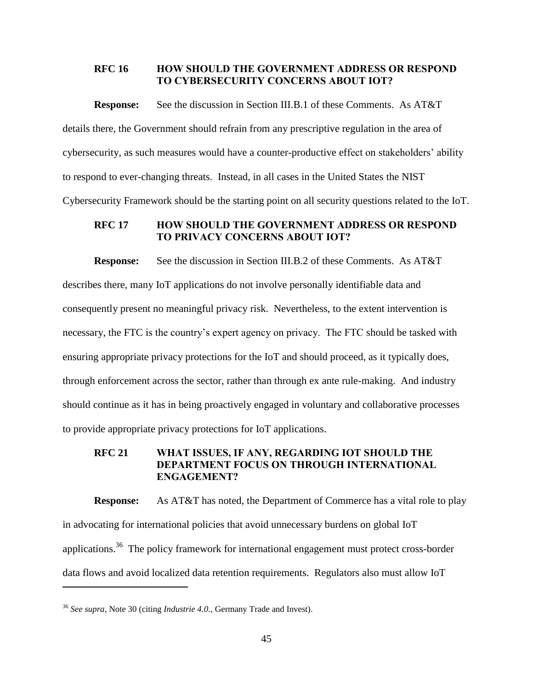#### <span id="page-48-0"></span>**RFC 16 HOW SHOULD THE GOVERNMENT ADDRESS OR RESPOND TO CYBERSECURITY CONCERNS ABOUT IOT?**

**Response:** See the discussion in Section III.B.1 of these Comments.As AT&T details there, the Government should refrain from any prescriptive regulation in the area of cybersecurity, as such measures would have a counter-productive effect on stakeholders' ability to respond to ever-changing threats. Instead, in all cases in the United States the NIST Cybersecurity Framework should be the starting point on all security questions related to the IoT.

## <span id="page-48-1"></span>**RFC 17 HOW SHOULD THE GOVERNMENT ADDRESS OR RESPOND TO PRIVACY CONCERNS ABOUT IOT?**

**Response:** See the discussion in Section III.B.2 of these Comments. As AT&T describes there, many IoT applications do not involve personally identifiable data and consequently present no meaningful privacy risk. Nevertheless, to the extent intervention is necessary, the FTC is the country's expert agency on privacy. The FTC should be tasked with ensuring appropriate privacy protections for the IoT and should proceed, as it typically does, through enforcement across the sector, rather than through ex ante rule-making. And industry should continue as it has in being proactively engaged in voluntary and collaborative processes to provide appropriate privacy protections for IoT applications.

### <span id="page-48-2"></span>**RFC 21 WHAT ISSUES, IF ANY, REGARDING IOT SHOULD THE DEPARTMENT FOCUS ON THROUGH INTERNATIONAL ENGAGEMENT?**

**Response:** As AT&T has noted, the Department of Commerce has a vital role to play in advocating for international policies that avoid unnecessary burdens on global IoT applications.<sup>36</sup> The policy framework for international engagement must protect cross-border data flows and avoid localized data retention requirements. Regulators also must allow IoT

<sup>36</sup> *See supra*, Note 30 (citing *Industrie 4.0.,* Germany Trade and Invest).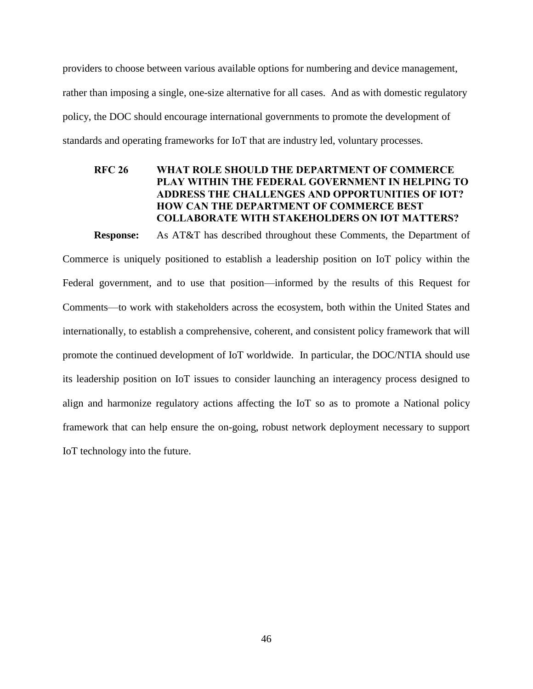providers to choose between various available options for numbering and device management, rather than imposing a single, one-size alternative for all cases. And as with domestic regulatory policy, the DOC should encourage international governments to promote the development of standards and operating frameworks for IoT that are industry led, voluntary processes.

# <span id="page-49-0"></span>**RFC 26 WHAT ROLE SHOULD THE DEPARTMENT OF COMMERCE PLAY WITHIN THE FEDERAL GOVERNMENT IN HELPING TO ADDRESS THE CHALLENGES AND OPPORTUNITIES OF IOT? HOW CAN THE DEPARTMENT OF COMMERCE BEST COLLABORATE WITH STAKEHOLDERS ON IOT MATTERS?**

**Response:** As AT&T has described throughout these Comments, the Department of Commerce is uniquely positioned to establish a leadership position on IoT policy within the Federal government, and to use that position—informed by the results of this Request for Comments—to work with stakeholders across the ecosystem, both within the United States and internationally, to establish a comprehensive, coherent, and consistent policy framework that will promote the continued development of IoT worldwide. In particular, the DOC/NTIA should use its leadership position on IoT issues to consider launching an interagency process designed to align and harmonize regulatory actions affecting the IoT so as to promote a National policy framework that can help ensure the on-going, robust network deployment necessary to support IoT technology into the future.